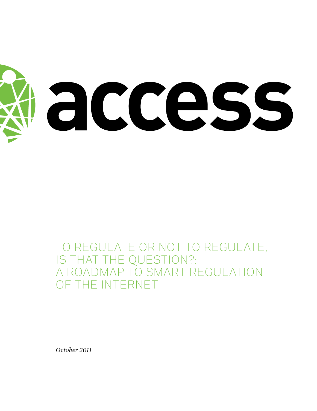

To Regulate or Not to Regulate, IS THAT THE QUESTION?: A Roadmap to Smart Regulation of the Internet

*October 2011*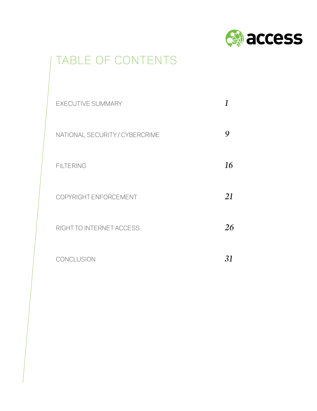

# TABLE OF CONTENTS

| <b>EXECUTIVE SUMMARY</b>       |    |
|--------------------------------|----|
| NATIONAL SECURITY / CYBERCRIME |    |
| <b>FILTERING</b>               | 16 |
| COPYRIGHT ENFORCEMENT          | 21 |
| RIGHT TO INTERNET ACCESS       | 26 |
| CONCLUSION                     | 31 |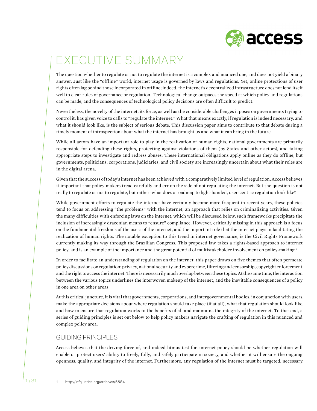

# executive summary

The question whether to regulate or not to regulate the internet is a complex and nuanced one, and does not yield a binary answer. Just like the "offline" world, internet usage is governed by laws and regulations. Yet, online protections of user rights often lag behind those incorporated in offline; indeed, the internet's decentralized infrastructure does not lend itself well to clear rules of governance or regulation. Technological change outpaces the speed at which policy and regulations can be made, and the consequences of technological policy decisions are often difficult to predict.

Nevertheless, the novelty of the internet, its force, as well as the considerable challenges it poses on governments trying to control it, has given voice to calls to "regulate the internet." What that means exactly, if regulation is indeed necessary, and what it should look like, is the subject of serious debate. This discussion paper aims to contribute to that debate during a timely moment of introspection about what the internet has brought us and what it can bring in the future.

While all actors have an important role to play in the realization of human rights, national governments are primarily responsible for defending these rights, protecting against violations of them (by States and other actors), and taking appropriate steps to investigate and redress abuses. These international obligations apply online as they do offline, but governments, politicians, corporations, judiciaries, and civil society are increasingly uncertain about what their roles are in the digital arena.

Given that the success of today's internet has been achieved with a comparatively limited level of regulation, Access believes it important that policy makers tread carefully and err on the side of not regulating the internet. But the question is not really to regulate or not to regulate, but rather: what does a roadmap to light-handed, user-centric regulation look like?

While government efforts to regulate the internet have certainly become more frequent in recent years, these policies tend to focus on addressing "the problems" with the internet, an approach that relies on criminalizing activities. Given the many difficulties with enforcing laws on the internet, which will be discussed below, such frameworks precipitate the inclusion of increasingly draconian means to "ensure" compliance. However, critically missing in this approach is a focus on the fundamental freedoms of the users of the internet, and the important role that the internet plays in facilitating the realization of human rights. The notable exception to this trend in internet governance, is the Civil Rights Framework currently making its way through the Brazilian Congress. This proposed law takes a rights-based approach to internet policy, and is an example of the importance and the great potential of multistakeholder involvement on policy-making.1

In order to facilitate an understanding of regulation on the internet, this paper draws on five themes that often permeate policy discussions on regulation: privacy, national security and cybercrime, filtering and censorship, copyright enforcement, and the right to access the internet. There is necessarily much overlap between these topics. At the same time, the interaction between the various topics underlines the interwoven makeup of the internet, and the inevitable consequences of a policy in one area on other areas.

At this critical juncture, it is vital that governments, corporations, and intergovernmental bodies, in conjunction with users, make the appropriate decisions about where regulation should take place (if at all), what that regulation should look like, and how to ensure that regulation works to the benefits of all and maintains the integrity of the internet. To that end, a series of guiding principles is set out below to help policy makers navigate the crafting of regulation in this nuanced and complex policy area.

# GUIDING PRINCIPI FS

Access believes that the driving force of, and indeed litmus test for, internet policy should be whether regulation will enable or protect users' ability to freely, fully, and safely participate in society, and whether it will ensure the ongoing openness, quality, and integrity of the internet. Furthermore, any regulation of the internet must be targeted, necessary,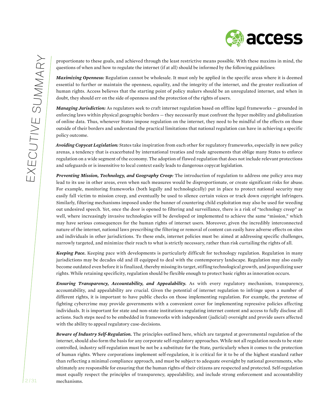proportionate to these goals, and achieved through the least restrictive means possible. With these maxims in mind, the questions of when and how to regulate the internet (if at all) should be informed by the following guidelines:

*Maximizing Openness:* Regulation cannot be wholesale. It must only be applied in the specific areas where it is deemed essential to further or maintain the openness, equality, and the integrity of the internet, and the greater realization of human rights. Access believes that the starting point of policy makers should be an unregulated internet, and when in doubt, they should err on the side of openness and the protection of the rights of users.

*Managing Jurisdiction:* As regulators seek to craft internet regulation based on offline legal frameworks — grounded in enforcing laws within physical geographic borders — they necessarily must confront the hyper mobility and globalization of online data. Thus, whenever States impose regulation on the internet, they need to be mindful of the effects on those outside of their borders and understand the practical limitations that national regulation can have in achieving a specific policy outcome.

*Avoiding Copycat Legislation:* States take inspiration from each other for regulatory frameworks, especially in new policy arenas, a tendency that is exacerbated by international treaties and trade agreements that oblige many States to enforce regulation on a wide segment of the economy. The adoption of flawed regulation that does not include relevant protections and safeguards or is insensitive to local context easily leads to dangerous copycat legislation.

*Preventing Mission, Technology, and Geography Creep:* The introduction of regulation to address one policy area may lead to its use in other areas, even when such measures would be disproportionate, or create significant risks for abuse. For example, monitoring frameworks (both legally and technologically) put in place to protect national security may easily fall victim to mission creep, and eventually be used to silence certain voices or track down copyright infringers. Similarly, filtering mechanisms imposed under the banner of countering child exploitation may also be used for weeding out undesired speech. Yet, once the door is opened to filtering and surveillance, there is a risk of "technology creep" as well, where increasingly invasive technologies will be developed or implemented to achieve the same "mission," which may have serious consequences for the human rights of internet users. Moreover, given the incredibly interconnected nature of the internet, national laws prescribing the filtering or removal of content can easily have adverse effects on sites and individuals in other jurisdictions. To these ends, internet policies must be: aimed at addressing specific challenges, narrowly targeted, and minimize their reach to what is strictly necessary, rather than risk curtailing the rights of all.

*Keeping Pace.* Keeping pace with developments is particularly difficult for technology regulation. Regulation in many jurisdictions may be decades old and ill equipped to deal with the contemporary landscape. Regulation may also easily become outdated even before it is finalized, thereby missing its target, stifling technological growth, and jeopardizing user rights. While retaining specificity, regulation should be flexible enough to protect basic rights as innovation occurs.

*Ensuring Transparency, Accountability, and Appealability.* As with every regulatory mechanism, transparency, accountability, and appealability are crucial. Given the potential of internet regulation to infringe upon a number of different rights, it is important to have public checks on those implementing regulation. For example, the pretense of fighting cybercrime may provide governments with a convenient cover for implementing repressive policies affecting individuals. It is important for state and non-state institutions regulating internet content and access to fully disclose all actions. Such steps need to be embedded in frameworks with independent (judicial) oversight and provide users affected with the ability to appeal regulatory case-decisions.

*Beware of Industry Self-Regulation.* The principles outlined here, which are targeted at governmental regulation of the internet, should also form the basis for any corporate self-regulatory approaches. While not all regulation needs to be state controlled, industry self-regulation must be not be a substitute for the State, particularly when it comes to the protection of human rights. Where corporations implement self-regulation, it is critical for it to be of the highest standard rather than reflecting a minimal compliance approach, and must be subject to adequate oversight by national governments, who ultimately are responsible for ensuring that the human rights of their citizens are respected and protected. Self-regulation must equally respect the principles of transparency, appealability, and include strong enforcement and accountability mechanisms.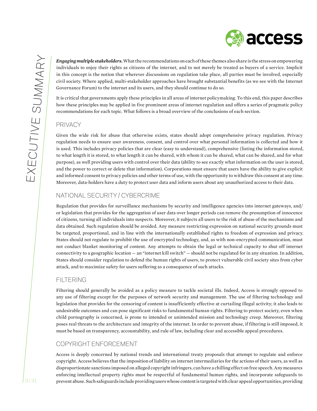*Engaging multiple stakeholders.* What the recommendations on each of these themes also share is the stress on empowering individuals to enjoy their rights as citizens of the internet, and to not merely be treated as buyers of a service. Implicit in this concept is the notion that wherever discussions on regulation take place, all parties must be involved, especially civil society. Where applied, multi-stakeholder approaches have brought substantial benefits (as we see with the Internet Governance Forum) to the internet and its users, and they should continue to do so.

It is critical that governments apply these principles in all areas of internet policymaking. To this end, this paper describes how these principles may be applied in five prominent areas of internet regulation and offers a series of pragmatic policy recommendations for each topic. What follows is a broad overview of the conclusions of each section.

# **PRIVACY**

Given the wide risk for abuse that otherwise exists, states should adopt comprehensive privacy regulation. Privacy regulation needs to ensure user awareness, consent, and control over what personal information is collected and how it is used. This includes privacy policies that are clear (easy to understand), comprehensive (listing the information stored, to what length it is stored, to what length it can be shared, with whom it can be shared, what can be shared, and for what purpose), as well providing users with control over their data (ability to see exactly what information on the user is stored, and the power to correct or delete that information). Corporations must ensure that users have the ability to give explicit and informed consent to privacy policies and other terms of use, with the opportunity to withdraw this consent at any time. Moreover, data-holders have a duty to protect user data and inform users about any unauthorized access to their data.

# National security / cybercrime

Regulation that provides for surveillance mechanisms by security and intelligence agencies into internet gateways, and/ or legislation that provides for the aggregation of user data over longer periods can remove the presumption of innocence of citizens, turning all individuals into suspects. Moreover, it subjects all users to the risk of abuse of the mechanisms and data obtained. Such regulation should be avoided. Any measure restricting expression on national security grounds must be targeted, proportional, and in line with the internationally established rights to freedom of expression and privacy. States should not regulate to prohibit the use of encrypted technology, and, as with non-encrypted communication, must not conduct blanket monitoring of content. Any attempts to obtain the legal or technical capacity to shut off internet connectivity to a geographic location — an "internet kill switch" — should not be regulated for in any situation. In addition, States should consider regulation to defend the human rights of users, to protect vulnerable civil society sites from cyber attack, and to maximize safety for users suffering as a consequence of such attacks.

# **FILTERING**

Filtering should generally be avoided as a policy measure to tackle societal ills. Indeed, Access is strongly opposed to any use of filtering except for the purposes of network security and management. The use of filtering technology and legislation that provides for the censoring of content is insufficiently effective at curtailing illegal activity; it also leads to undesirable outcomes and can pose significant risks to fundamental human rights. Filtering to protect society, even when child pornography is concerned, is prone to intended or unintended mission and technology creep. Moreover, filtering poses real threats to the architecture and integrity of the internet. In order to prevent abuse, if filtering is still imposed, it must be based on transparency, accountability, and rule of law, including clear and accessible appeal procedures.

# Copyright Enforcement

Access is deeply concerned by national trends and international treaty proposals that attempt to regulate and enforce copyright. Access believes that the imposition of liability on internet intermediaries for the actions of their users, as well as disproportionate sanctions imposed on alleged copyright infringers, can have a chilling effect on free speech. Any measures enforcing intellectual property rights must be respectful of fundamental human rights, and incorporate safeguards to prevent abuse. Such safeguards include providing users whose content is targeted with clear appeal opportunities, providing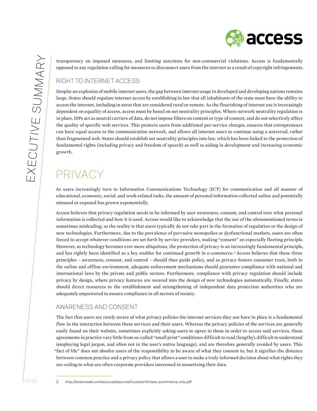**A** access

transparency on imposed measures, and limiting sanctions for non-commercial violations. Access is fundamentally opposed to any regulation calling for measures to disconnect users from the internet as a result of copyright infringements.

# Right to internet access

Despite an explosion of mobile internet users, the gap between internet usage in developed and developing nations remains large. States should regulate internet access by establishing in law that all inhabitants of the state must have the ability to access the internet, including in areas that are considered rural or remote. As the flourishing of internet use is increasingly dependent on equality of access, access must be based on net neutrality principles. Where network neutrality regulation is in place, ISPs act as neutral carriers of data, do not impose filters on content or type of content, and do not selectively affect the quality of specific web services. This protects users from additional per-service charges, ensures that entrepreneurs can have equal access to the communication network, and allows all internet users to continue using a universal, rather than fragmented web. States should establish net neutrality principles into law, which has been linked to the protection of fundamental rights (including privacy and freedom of speech) as well as aiding in development and increasing economic growth.

# Privacy

As users increasingly turn to Information Communications Technology (ICT) for communication and all manner of educational, economic, social, and work-related tasks, the amount of personal information collected online and potentially misused or exposed has grown exponentially.

Access believes that privacy regulation needs to be informed by user awareness, consent, and control over what personal information is collected and how it is used. Access would like to acknowledge that the use of the aforementioned terms is sometimes misleading, as the reality is that users typically do not take part in the formation of regulation or the design of new technologies. Furthermore, due to the prevalence of pervasive monopolies or dysfunctional markets, users are often forced to accept whatever conditions are set forth by service providers, making "consent" an especially fleeting principle. However, as technology becomes ever more ubiquitous, the protection of privacy is an increasingly fundamental principle, and has rightly been identified as a key enabler for continued growth in e-commerce.<sup>2</sup> Access believes that these three principles – awareness, consent, and control – should thus guide policy, and as privacy fosters consumer trust, both in the online and offline environment, adequate enforcement mechanisms should guarantee compliance with national and international laws by the private and public sectors. Furthermore, compliance with privacy regulation should include privacy by design, where privacy features are weaved into the design of new technologies automatically. Finally, states should direct resources to the establishment and strengthening of independent data protection authorities who are adequately empowered to ensure compliance in all sectors of society.

# Awareness and consent

The fact that users are rarely aware of what privacy policies the internet services they use have in place is a fundamental flaw in the interaction between these services and their users. Whereas the privacy policies of the services are generally easily found on their website, sometimes explicitly asking users to agree to them in order to access said services, these agreements in practice vary little from so-called "small print" conditions: difficult to read (lengthy), difficult to understand (employing legal jargon, and often not in the user's native language), and are therefore generally avoided by users. This "fact of life" does not absolve users of the responsibility to be aware of what they consent to, but it signifies the distance between common practice and a privacy policy that allows a user to make a truly informed decision about what rights they are ceding to what are often corporate providers interested in monetizing their data.

2 http://onemvweb.com/sources/sources/trustworthiness\_ecommerce\_role.pdf

<sup>4 / 31</sup>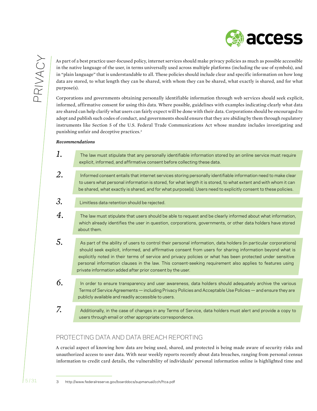

As part of a best practice user-focused policy, internet services should make privacy policies as much as possible accessible in the native language of the user, in terms universally used across multiple platforms (including the use of symbols), and in "plain language" that is understandable to all. These policies should include clear and specific information on how long data are stored, to what length they can be shared, with whom they can be shared, what exactly is shared, and for what purpose(s).

Corporations and governments obtaining personally identifiable information through web services should seek explicit, informed, affirmative consent for using this data. Where possible, guidelines with examples indicating clearly what data are shared can help clarify what users can fairly expect will be done with their data. Corporations should be encouraged to adopt and publish such codes of conduct, and governments should ensure that they are abiding by them through regulatory instruments like Section 5 of the U.S. Federal Trade Communications Act whose mandate includes investigating and punishing unfair and deceptive practices.<sup>3</sup>

#### *Recommendations*

- *1.* The law must stipulate that any personally identifiable information stored by an online service must require explicit, informed, and affirmative consent before collecting these data.
- *2.* Informed consent entails that internet services storing personally identifiable information need to make clear to users what personal information is stored, for what length it is stored, to what extent and with whom it can be shared, what exactly is shared, and for what purpose(s). Users need to explicitly consent to these policies.

*3.* Limitless data retention should be rejected.

- *4.* The law must stipulate that users should be able to request and be clearly informed about what information, which already identifies the user in question, corporations, governments, or other data holders have stored about them.
- *5.* As part of the ability of users to control their personal information, data holders (in particular corporations) should seek explicit, informed, and affirmative consent from users for sharing information beyond what is explicitly noted in their terms of service and privacy policies or what has been protected under sensitive personal information clauses in the law. This consent-seeking requirement also applies to features using private information added after prior consent by the user.
- *6.* In order to ensure transparency and user awareness, data holders should adequately archive the various Terms of Service Agreements — including Privacy Policies and Acceptable Use Policies — and ensure they are publicly available and readily accessible to users.
- *7.* Additionally, in the case of changes in any Terms of Service, data holders must alert and provide a copy to users through email or other appropriate correspondence.

# Protecting data and data breach reporting

A crucial aspect of knowing how data are being used, shared, and protected is being made aware of security risks and unauthorized access to user data. With near weekly reports recently about data breaches, ranging from personal census information to credit card details, the vulnerability of individuals' personal information online is highlighted time and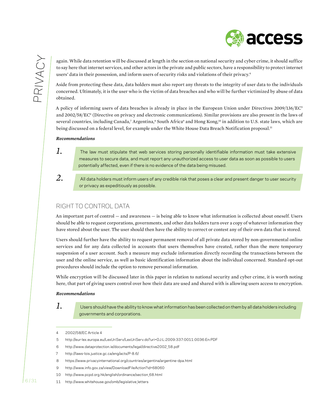

again. While data retention will be discussed at length in the section on national security and cyber crime, it should suffice to say here that internet services, and other actors in the private and public sectors, have a responsibility to protect internet users' data in their possession, and inform users of security risks and violations of their privacy.4

Aside from protecting these data, data holders must also report any threats to the integrity of user data to the individuals concerned. Ultimately, it is the user who is the victim of data breaches and who will be further victimized by abuse of data obtained.

A policy of informing users of data breaches is already in place in the European Union under Directives 2009/136/EC5 and 2002/58/EC<sup>6</sup> (Directive on privacy and electronic communications). Similar provisions are also present in the laws of several countries, including Canada,<sup>7</sup> Argentina,<sup>8</sup> South Africa<sup>9</sup> and Hong Kong,<sup>10</sup> in addition to U.S. state laws, which are being discussed on a federal level, for example under the White House Data Breach Notification proposal.<sup>11</sup>

#### *Recommendations*

*2.*

- *1.* The law must stipulate that web services storing personally identifiable information must take extensive measures to secure data, and must report any unauthorized access to user data as soon as possible to users potentially affected, even if there is no evidence of the data being misused.
	- All data holders must inform users of any credible risk that poses a clear and present danger to user security or privacy as expeditiously as possible.

## Right to control data

An important part of control — and awareness — is being able to know what information is collected about oneself. Users should be able to request corporations, governments, and other data holders turn over a copy of whatever information they have stored about the user. The user should then have the ability to correct or contest any of their own data that is stored.

Users should further have the ability to request permanent removal of all private data stored by non-governmental online services and for any data collected in accounts that users themselves have created, rather than the mere temporary suspension of a user account. Such a measure may exclude information directly recording the transactions between the user and the online service, as well as basic identification information about the individual concerned. Standard opt-out procedures should include the option to remove personal information.

While encryption will be discussed later in this paper in relation to national security and cyber crime, it is worth noting here, that part of giving users control over how their data are used and shared with is allowing users access to encryption.

#### *Recommendations*

*1.*

Users should have the ability to know what information has been collected on them by all data holders including governments and corporations.

<sup>4 2002/58/</sup>EC Article 4

<sup>5</sup> http://eur-lex.europa.eu/LexUriServ/LexUriServ.do?uri=OJ:L:2009:337:0011:0036:En:PDF

<sup>6</sup> http://www.dataprotection.ie/documents/legal/directive2002\_58.pdf

<sup>7</sup> http://laws-lois.justice.gc.ca/eng/acts/P-8.6/

<sup>8</sup> https://www.privacyinternational.org/countries/argentina/argentine-dpa.html

<sup>9</sup> http://www.info.gov.za/view/DownloadFileAction?id=68060

<sup>10</sup> http://www.pcpd.org.hk/english/ordinance/section\_68.html

<sup>11</sup> http://www.whitehouse.gov/omb/legislative\_letters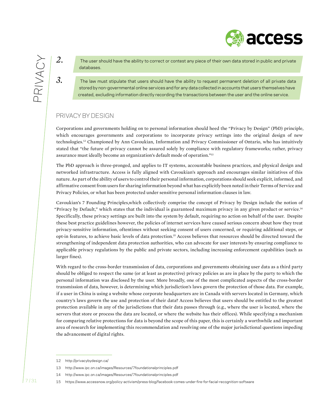*2.*

*3.*

The user should have the ability to correct or contest any piece of their own data stored in public and private databases.

The law must stipulate that users should have the ability to request permanent deletion of all private data stored by non-governmental online services and for any data collected in accounts that users themselves have created, excluding information directly recording the transactions between the user and the online service.

# Privacy by Design

Corporations and governments holding on to personal information should heed the "Privacy by Design" (PbD) principle, which encourages governments and corporations to incorporate privacy settings into the original design of new technologies.12 Championed by Ann Cavoukian, Information and Privacy Commissioner of Ontario, who has intuitively stated that "the future of privacy cannot be assured solely by compliance with regulatory frameworks; rather, privacy assurance must ideally become an organization's default mode of operation."13

The PbD approach is three-pronged, and applies to IT systems, accountable business practices, and physical design and networked infrastructure. Access is fully aligned with Cavoukian's approach and encourages similar initiatives of this nature. As part of the ability of users to control their personal information, corporations should seek explicit, informed, and affirmative consent from users for sharing information beyond what has explicitly been noted in their Terms of Service and Privacy Policies, or what has been protected under sensitive personal information clauses in law.

Cavoukian's 7 Founding Principles,which collectively comprise the concept of Privacy by Design include the notion of "Privacy by Default," which states that the individual is guaranteed maximum privacy in any given product or service.14 Specifically, these privacy settings are built into the system by default, requiring no action on behalf of the user. Despite these best practice guidelines however, the policies of internet services have caused serious concern about how they treat privacy-sensitive information, oftentimes without seeking consent of users concerned, or requiring additional steps, or opt-in features, to achieve basic levels of data protection.15 Access believes that resources should be directed toward the strengthening of independent data protection authorities, who can advocate for user interests by ensuring compliance to applicable privacy regulations by the public and private sectors, including increasing enforcement capabilities (such as larger fines).

With regard to the cross-border transmission of data, corporations and governments obtaining user data as a third party should be obliged to respect the same (or at least as protective) privacy policies as are in place by the party to which the personal information was disclosed by the user. More broadly, one of the most complicated aspects of the cross-border transmission of data, however, is determining which jurisdiction's laws govern the protection of those data. For example, if a user in China is using a website whose corporate headquarters are in Canada with servers located in Germany, which country's laws govern the use and protection of their data? Access believes that users should be entitled to the greatest protection available in any of the jurisdictions that their data passes through (e.g., where the user is located, where the servers that store or process the data are located, or where the website has their offices). While specifying a mechanism for comparing relative protections for data is beyond the scope of this paper, this is certainly a worthwhile and important area of research for implementing this recommendation and resolving one of the major jurisdictional questions impeding the advancement of digital rights.

<sup>12</sup> http://privacybydesign.ca/

<sup>13</sup> http://www.ipc.on.ca/images/Resources/7foundationalprinciples.pdf

<sup>14</sup> http://www.ipc.on.ca/images/Resources/7foundationalprinciples.pdf

<sup>15</sup> https://www.accessnow.org/policy-activism/press-blog/facebook-comes-under-fire-for-facial-recognition-software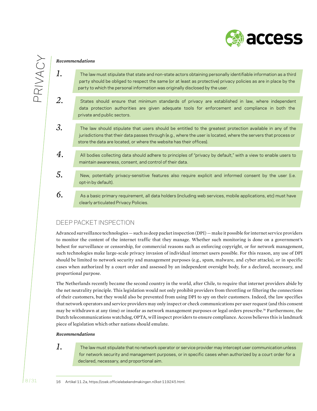

# PRIVACY

#### *Recommendations*

*1.*

- The law must stipulate that state and non-state actors obtaining personally identifiable information as a third party should be obliged to respect the same (or at least as protective) privacy policies as are in place by the party to which the personal information was originally disclosed by the user.
- *2.* States should ensure that minimum standards of privacy are established in law, where independent data protection authorities are given adequate tools for enforcement and compliance in both the private and public sectors.
- *3.* The law should stipulate that users should be entitled to the greatest protection available in any of the jurisdictions that their data passes through (e.g., where the user is located, where the servers that process or store the data are located, or where the website has their offices).
- *4.* All bodies collecting data should adhere to principles of "privacy by default," with a view to enable users to maintain awareness, consent, and control of their data.
- *5.* New, potentially privacy-sensitive features also require explicit and informed consent by the user (i.e. opt-in by default).
- *6.* As a basic primary requirement, all data holders (including web services, mobile applications, etc) must have clearly articulated Privacy Policies.

# Deep packet inspection

Advanced surveillance technologies — such as deep packet inspection (DPI) — make it possible for internet service providers to monitor the content of the internet traffic that they manage. Whether such monitoring is done on a government's behest for surveillance or censorship, for commercial reasons such as enforcing copyright, or for network management, such technologies make large-scale privacy invasion of individual internet users possible. For this reason, any use of DPI should be limited to network security and management purposes (e.g., spam, malware, and cyber attacks), or in specific cases when authorized by a court order and assessed by an independent oversight body, for a declared, necessary, and proportional purpose.

The Netherlands recently became the second country in the world, after Chile, to require that internet providers abide by the net neutrality principle. This legislation would not only prohibit providers from throttling or filtering the connections of their customers, but they would also be prevented from using DPI to spy on their customers. Indeed, the law specifies that network operators and service providers may only inspect or check communications per user request (and this consent may be withdrawn at any time) or insofar as network management purposes or legal orders prescribe.16 Furthermore, the Dutch telecommunications watchdog, OPTA, will inspect providers to ensure compliance. Access believes this is landmark piece of legislation which other nations should emulate.

#### *Recommendations*

### *1.*

- The law must stipulate that no network operator or service provider may intercept user communication unless for network security and management purposes, or in specific cases when authorized by a court order for a declared, necessary, and proportional aim.
- 16 Artikel 11.2a, https://zoek.officielebekendmakingen.nl/kst-119245.html.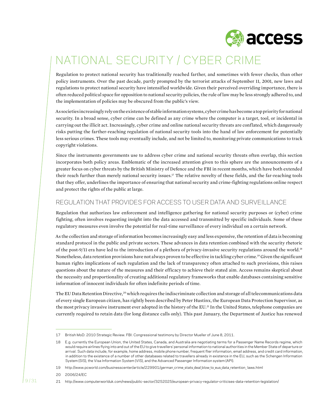

# National security / cyber crime

Regulation to protect national security has traditionally reached farther, and sometimes with fewer checks, than other policy instruments. Over the past decade, partly prompted by the terrorist attacks of September 11, 2001, new laws and regulations to protect national security have intensified worldwide. Given their perceived overriding importance, there is often reduced political space for opposition to national security policies, the rule of law may be less strongly adhered to, and the implementation of policies may be obscured from the public's view.

As societies increasingly rely on the existence of stable information systems, cyber crime has become a top priority for national security. In a broad sense, cyber crime can be defined as any crime where the computer is a target, tool, or incidental in carrying out the illicit act. Increasingly, cyber crime and online national security threats are conflated, which dangerously risks putting the farther-reaching regulation of national security tools into the hand of law enforcement for potentially less serious crimes. These tools may eventually include, and not be limited to, monitoring private communications to track copyright violations.

Since the instruments governments use to address cyber crime and national security threats often overlap, this section incorporates both policy areas. Emblematic of the increased attention given to this sphere are the announcements of a greater focus on cyber threats by the British Ministry of Defence and the FBI in recent months, which have both extended their reach further than merely national security issues.<sup>17</sup> The relative novelty of these fields, and the far-reaching tools that they offer, underlines the importance of ensuring that national security and crime-fighting regulations online respect and protect the rights of the public at large.

# Regulation that provides for access to user data and surveillance

Regulation that authorizes law enforcement and intelligence gathering for national security purposes or (cyber) crime fighting, often involves requesting insight into the data accessed and transmitted by specific individuals. Some of these regulatory measures even involve the potential for real-time surveillance of every individual on a certain network.

As the collection and storage of information becomes increasingly easy and less expensive, the retention of data is becoming standard protocol in the public and private sectors. These advances in data retention combined with the security rhetoric of the post-9/11 era have led to the introduction of a plethora of privacy-invasive security regulations around the world.<sup>18</sup> Nonetheless, data retention provisions have not always proven to be effective in tackling cyber crime.<sup>19</sup> Given the significant human rights implications of such regulation and the lack of transparency often attached to such provisions, this raises questions about the nature of the measures and their efficacy to achieve their stated aim. Access remains skeptical about the necessity and proportionality of creating additional regulatory frameworks that enable databases containing sensitive information of innocent individuals for often indefinite periods of time.

The EU Data Retention Directive,<sup>20</sup> which requires the indiscriminate collection and storage of all telecommunications data of every single European citizen, has rightly been described by Peter Hustinx, the European Data Protection Supervisor, as the most privacy invasive instrument ever adopted in the history of the EU.<sup>21</sup> In the United States, telephone companies are currently required to retain data (for long distance calls only). This past January, the Department of Justice has renewed

<sup>17</sup> British MoD: 2010 Strategic Review. FBI: Congressional testimony by Director Mueller of June 8, 2011.

<sup>18</sup> E.g. currently the European Union, the United States, Canada, and Australia are negotiating terms for a Passenger Name Records regime, which would require airlines flying into and out of the EU to give travellers' personal information to national authorities in the Member State of departure or arrival. Such data include, for example, home address, mobile phone number, frequent flier information, email address, and credit card information, in addition to the existence of a number of other databases related to travellers already in existence in the EU, such as the Schengen Information System (SIS), the Visa Information System (VIS), and the Advanced Passenger Information system (API).

<sup>19</sup> http://www.pcworld.com/businesscenter/article/229901/german\_crime\_stats\_deal\_blow\_to\_eus\_data\_retention\_ laws.html

<sup>20 2006/24/</sup>EC

<sup>21</sup> http://www.computerworlduk.com/news/public-sector/3252025/european-privacy-regulator-criticises-data-retention-legislation/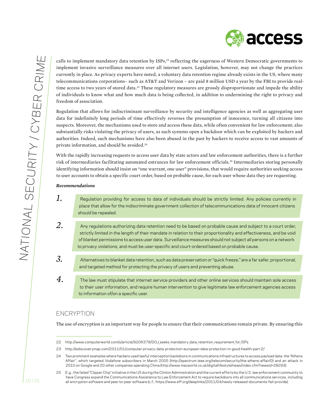

calls to implement mandatory data retention by ISPs,<sup>22</sup> reflecting the eagerness of Western Democratic governments to implement invasive surveillance measures over all internet users. Legislation, however, may not change the practices currently in place. As privacy experts have noted, a voluntary data retention regime already exists in the US, where many telecommunications corporations– such as AT&T and Verizon – are paid 8 million USD a year by the FBI to provide realtime access to two years of stored data.<sup>23</sup> These regulatory measures are grossly disproportionate and impede the ability of individuals to know what and how much data is being collected, in addition to undermining the right to privacy and freedom of association.

Regulation that allows for indiscriminant surveillance by security and intelligence agencies as well as aggregating user data for indefinitely long periods of time effectively reverses the presumption of innocence, turning all citizens into suspects. Moreover, the mechanisms used to store and access these data, while often convenient for law enforcement; also substantially risks violating the privacy of users, as such systems open a backdoor which can be exploited by hackers and authorities. Indeed, such mechanisms have also been abused in the past by hackers to receive access to vast amounts of private information, and should be avoided.<sup>24</sup>

With the rapidly increasing requests to access user data by state actors and law enforcement authorities, there is a further risk of intermediaries facilitating automated entrances for law enforcement officials.<sup>25</sup> Intermediaries storing personally identifying information should insist on "one warrant, one user" provisions, that would require authorities seeking access to user accounts to obtain a specific court order, based on probable cause, for each user whose data they are requesting.

#### *Recommendations*

- *1.* Regulation providing for access to data of individuals should be strictly limited. Any policies currently in place that allow for the indiscriminate government collection of telecommunications data of innocent citizens should be repealed.
- *2.* Any regulations authorizing data retention need to be based on probable cause and subject to a court order, strictly limited in the length of their mandate in relation to their proportionality and effectiveness, and be void of blanket permissions to access user data. Surveillance measures should not subject all persons on a network to privacy violations, and must be user-specific and court-ordered based on probable cause.
- *3.* Alternatives to blanket data retention, such as data preservation or "quick freeze," are a far safer, proportional, and targeted method for protecting the privacy of users and preventing abuse.
- *4.* The law must stipulate that internet service providers and other online services should maintain sole access to their user information, and require human intervention to give legitimate law enforcement agencies access to information of/on a specific user.

## **ENCRYPTION**

The use of encryption is an important way for people to ensure that their communications remain private. By ensuring this

<sup>22</sup> http://www.computerworld.com/s/article/9206379/DOJ\_seeks\_mandatory \_data\_retention\_requirement\_for\_ISPs

<sup>23</sup> http://ediscoverymap.com/2011/01/computer-privacy-data-protection-european-data-protection-in-good-health-part-2/

<sup>24</sup> Two prominent examples where hackers used lawful interception backdoors in communications infrastructures to access payload data: the "Athens Affair", which targeted Vodafone subscribers in March 2005 (http://spectrum.ieee.org/telecom/security/the-athens-affair/0) and an attack in 2010 on Google and 20 other companies operating China (http://www.macworld.co.uk/digitallifestyle/news/index.cfm?newsid=28293).

<sup>25</sup> E.g., the failed "Clipper Chip" initiative in the US during the Clinton Administration and the current efforts by the U.S. law enforcement community to have Congress expand the Communications Assistance to Law Enforcement Act to require backdoors into all communications services, including all encryption software and peer-to-peer software (c.f., https://www.eff.org/deeplinks/2011/04/newly-released-documents-fail-provide).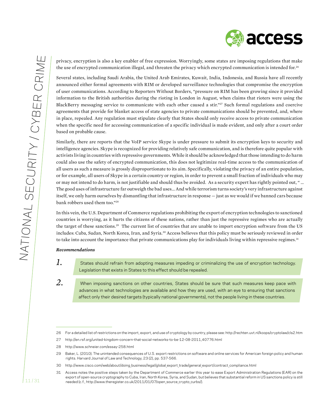privacy, encryption is also a key enabler of free expression. Worryingly, some states are imposing regulations that make the use of encrypted communication illegal, and threaten the privacy which encrypted communication is intended for.<sup>26</sup>

Several states, including Saudi Arabia, the United Arab Emirates, Kuwait, India, Indonesia, and Russia have all recently announced either formal agreements with RIM or developed surveillance technologies that compromise the encryption of user communications. According to Reporters Without Borders, "pressure on RIM has been growing since it provided information to the British authorities during the rioting in London in August, when claims that rioters were using the BlackBerry messaging service to communicate with each other caused a stir."27 Such formal regulations and coercive agreements that provide for blanket access of state agencies to private communications should be prevented, and, where in place, repealed. Any regulation must stipulate clearly that States should only receive access to private communication when the specific need for accessing communication of a specific individual is made evident, and only after a court order based on probable cause.

Similarly, there are reports that the VoIP service Skype is under pressure to submit its encryption keys to security and intelligence agencies. Skype is recognized for providing relatively safe communication, and is therefore quite popular with activists living in countries with repressive governments. While it should be acknowledged that those intending to do harm could also use the safety of encrypted communication, this does not legitimize real-time access to the communication of all users as such a measure is grossly disproportionate to its aim. Specifically, violating the privacy of an entire population, or for example, all users of Skype in a certain country or region, in order to prevent a small fraction of individuals who may or may not intend to do harm, is not justifiable and should thus be avoided. As a security expert has rightly pointed out, " … The good uses of infrastructure far outweigh the bad uses... And while terrorism turns society's very infrastructure against itself, we only harm ourselves by dismantling that infrastructure in response — just as we would if we banned cars because bank robbers used them too."28

In this vein, the U.S. Department of Commerce regulations prohibiting the export of encryption technologies to sanctioned countries is worrying, as it hurts the citizens of these nations, rather than just the repressive regimes who are actually the target of these sanctions.<sup>29</sup> The current list of countries that are unable to import encryption software from the US includes: Cuba, Sudan, North Korea, Iran, and Syria.30 Access believes that this policy must be seriously reviewed in order to take into account the importance that private communications play for individuals living within repressive regimes.<sup>31</sup>

#### *Recommendations*

*1.*

*2.*

States should refrain from adopting measures impeding or criminalizing the use of encryption technology. Legislation that exists in States to this effect should be repealed.

When imposing sanctions on other countries, States should be sure that such measures keep pace with advances in what technologies are available and how they are used, with an eye to ensuring that sanctions affect only their desired targets (typically national governments), not the people living in these countries.

<sup>26</sup> For a detailed list ofrestrictions on the import, export, and use of cryptology by country, please see: http://rechten.uvt.nl/koops/cryptolaw/cls2.htm

<sup>27</sup> http://en.rsf.org/united-kingdom-concern-that-social-networks-to-be-12-08-2011,40776.html

<sup>28</sup> http://www.schneier.com/essay-258.html

<sup>29</sup> Baker, L. (2010). The unintended consequences of U.S. export restrictions on software and online services for American foreign policy and human rights. Harvard Journal of Law and Technology, 23 (2), pp. 537-566.

<sup>30</sup> http://www.cisco.com/web/about/doing\_business/legal/global\_export\_trade/general\_export/contract\_compliance.html

<sup>31</sup> Access notes the positive steps taken by the Department of Commerce earlier this year to ease Export Administration Regulations (EAR) on the export of open-source cryptography to Cuba, Iran, North Korea, Syria, and Sudan, but believes that substantial reform in US sanctions policy is still needed (c.f., http://www.theregister.co.uk/2011/01/07/open\_source\_crypto\_curbs/).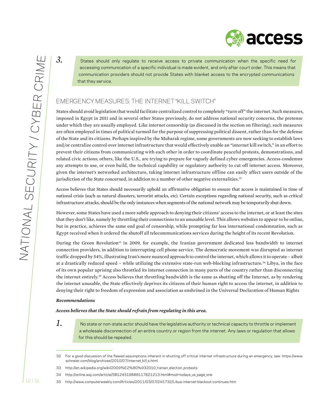access

*3.* States should only regulate to receive access to private communication when the specific need for accessing communication of a specific individual is made evident, and only after court order. This means that communication providers should not provide States with blanket access to the encrypted communications that they service.

# Emergency measures: the internet "kill switch"

States should avoid legislation that would facilitate centralized control to completely "turn off" the internet. Such measures, imposed in Egypt in 2011 and in several other States previously, do not address national security concerns, the pretense under which they are usually employed. Like internet censorship (as discussed in the section on filtering), such measures are often employed in times of political turmoil for the purpose of suppressing political dissent, rather than for the defense of the State and its citizens. Perhaps inspired by the Mubarak regime, some governments are now seeking to establish laws and/or centralize control over internet infrastructure that would effectively enable an "internet kill switch," in an effort to prevent their citizens from communicating with each other in order to coordinate peaceful protests, demonstrations, and related civic actions; others, like the U.S., are trying to prepare for vaguely defined cyber emergencies. Access condemns any attempts to use, or even build, the technical capability or regulatory authority to cut off internet access. Moreover, given the internet's networked architecture, taking internet infrastructure offline can easily affect users outside of the jurisdiction of the State concerned, in addition to a number of other negative externalities.<sup>32</sup>

Access believes that States should necessarily uphold an affirmative obligation to ensure that access is maintained in time of national crisis (such as natural disasters, terrorist attacks, etc). Certain exceptions regarding national security, such as critical infrastructure attacks, should be the only instances when segments of the national network may be temporarily shut down.

However, some States have used a more subtle approach to denying their citizens' access to the internet, or at least the sites that they don't like, namely by throttling their connections to an unusable level. This allows websites to appear to be online, but in practice, achieves the same end goal of censorship, while prompting far less international condemnation, such as Egypt received when it ordered the shutoff all telecommunications services during the height of its recent Revolution.

During the Green Revolution<sup>33</sup> in 2009, for example, the Iranian government dedicated less bandwidth to internet connection providers, in addition to interrupting cell phone service. The democratic movement was disrupted as internet traffic dropped by 54%, illustrating Iran's more nuanced approach to control the internet, which allows it to operate – albeit at a drastically reduced speed – while utilizing the extensive state-run web-blocking infrastructure.<sup>34</sup> Libya, in the face of its own popular uprising also throttled its internet connection in many parts of the country rather than disconnecting the internet entirely.35 Access believes that throttling bandwidth is the same as shutting off the Internet, as by rendering the internet unusable, the State effectively deprives its citizens of their human right to access the internet, in addition to denying their right to freedom of expression and association as enshrined in the Universal Declaration of Human Rights

#### *Recommendations*

#### *Access believes that the State should refrain from regulating in this area.*

*1.* No state or non-state actor should have the legislative authority or technical capacity to throttle or implement a wholesale disconnection of an entire country or region from the internet. Any laws or regulation that allows for this should be repealed.

<sup>32</sup> For a good discussion of the flawed assumptions inherent in shutting off critical internet infrastructure during an emergency, see: https://www. schneier.com/blog/archives/2010/07/internet kill s.html

<sup>33</sup> http://en.wikipedia.org/wiki/2009%E2%80%932010\_Iranian\_election\_protests

<sup>34</sup> http://online.wsj.com/article/SB124519888117821213.html#mod=todays us page one

<sup>35</sup> http://www.computerweekly.com/Articles/2011/03/07/245732/Libya-internet-blackout-continues.htm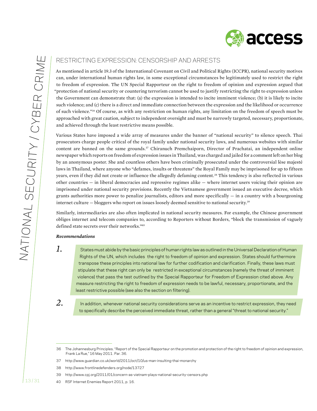

# Restricting expression: censorship and arrests

As mentioned in article 19.3 of the International Covenant on Civil and Political Rights (ICCPR), national security motives can, under international human rights law, in some exceptional circumstances be legitimately used to restrict the right to freedom of expression. The UN Special Rapporteur on the right to freedom of opinion and expression argued that "protection of national security or countering terrorism cannot be used to justify restricting the right to expression unless the Government can demonstrate that: (a) the expression is intended to incite imminent violence; (b) it is likely to incite such violence; and (c) there is a direct and immediate connection between the expression and the likelihood or occurrence of such violence."36 Of course, as with any restriction on human rights, any limitation on the freedom of speech must be approached with great caution, subject to independent oversight and must be narrowly targeted, necessary, proportionate, and achieved through the least restrictive means possible.

Various States have imposed a wide array of measures under the banner of "national security" to silence speech. Thai prosecutors charge people critical of the royal family under national security laws, and numerous websites with similar content are banned on the same grounds.37 Chiranuch Premchaiporn, Director of Prachatai, an independent online newspaper which reports on freedom of expression issues in Thailand, was charged and jailed for a comment left on her blog by an anonymous poster. She and countless others have been criminally prosecuted under the controversial lèse majesté laws in Thailand, where anyone who "defames, insults or threatens" the Royal Family may be imprisoned for up to fifteen years, even if they did not create or influence the allegedly defaming content.<sup>38</sup> This tendency is also reflected in various other countries — in liberal democracies and repressive regimes alike — where internet users voicing their opinion are imprisoned under national security provisions. Recently the Vietnamese government issued an executive decree, which grants authorities more power to penalize journalists, editors and more specifically  $-$  in a country with a bourgeoning internet culture — bloggers who report on issues loosely deemed sensitive to national security.<sup>39</sup>

Similarly, intermediaries are also often implicated in national security measures. For example, the Chinese government obliges internet and telecom companies to, according to Reporters without Borders, "block the transmission of vaguely defined state secrets over their networks."40

#### *Recommendations*

*1.*

States must abide by the basic principles of human rights law as outlined in the Universal Declaration of Human Rights of the UN, which includes the right to freedom of opinion and expression. States should furthermore transpose these principles into national law for further codification and clarification. Finally, these laws must stipulate that these right can only be restricted in exceptional circumstances (namely the threat of imminent violence) that pass the test outlined by the Special Rapporteur for Freedom of Expression cited above. Any measure restricting the right to freedom of expression needs to be lawful, necessary, proportionate, and the least restrictive possible (see also the section on filtering).

*2.*

In addition, whenever national security considerations serve as an incentive to restrict expression, they need to specifically describe the perceived immediate threat, rather than a general "threat to national security."

<sup>36</sup> The Johannesburg Principles. "Report of the Special Rapporteur on the promotion and protection of the right to freedom of opinion and expression, Frank La Rue," 16 May 2011. Par. 36.

<sup>37</sup> http://www.guardian.co.uk/world/2011/oct/10/us-man-insulting-thai-monarchy

<sup>38</sup> http://www.frontlinedefenders.org/node/13727

<sup>39</sup> http://www.cpj.org/2011/01/concern-as-vietnam-plays-national-security-censors.php

<sup>40</sup> RSF Internet Enemies Report 2011, p. 16.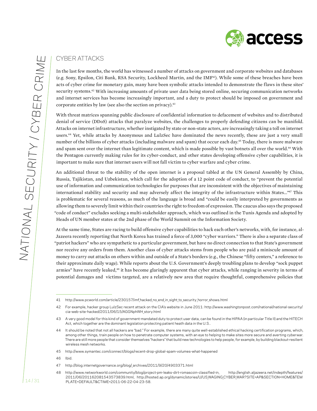

# Cyber attacks

In the last few months, the world has witnessed a number of attacks on government and corporate websites and databases (e.g. Sony, Epsilon, Citi Bank, RSA Security, Lockheed Martin, and the IMF41). While some of these breaches have been acts of cyber crime for monetary gain, many have been symbolic attacks intended to demonstrate the flaws in these sites' security systems.42 With increasing amounts of private user data being stored online, securing communication networks and internet services has become increasingly important, and a duty to protect should be imposed on government and corporate entities by law (see also the section on privacy).<sup>43</sup>

With threat matrices spanning public disclosure of confidential information to defacement of websites and to distributed denial of service (DDoS) attacks that paralyze websites, the challenges to properly defending citizens can be manifold. Attacks on internet infrastructure, whether instigated by state or non-state actors, are increasingly taking a toll on internet users.<sup>44</sup> Yet, while attacks by Anonymous and LulzSec have dominated the news recently, these are just a very small number of the billions of cyber attacks (including malware and spam) that occur each day.45 Today, there is more malware and spam sent over the internet than legitimate content, which is made possible by vast botnets all over the world.46 With the Pentagon currently making rules for its cyber-conduct, and other states developing offensive cyber capabilities, it is important to make sure that internet users will not fall victim to cyber warfare and cyber crime.

An additional threat to the stability of the open internet is a proposal tabled at the UN General Assembly by China, Russia, Tajikistan, and Uzbekistan, which call for the adoption of a 12 point code of conduct, to "prevent the potential use of information and communication technologies for purposes that are inconsistent with the objectives of maintaining international stability and security and may adversely affect the integrity of the infrastructure within States..."47 This is problematic for several reasons, as much of the language is broad and "could be easily interpreted by governments as allowing them to severely limit within their countries the right to freedom of expression. The caucus also says the proposed "code of conduct" excludes seeking a multi-stakeholder approach, which was outlined in the Tunis Agenda and adopted by Heads of UN member states at the 2nd phase of the World Summit on the Information Society.

At the same time, States are racing to build offensive cyber capabilities to hack each other's networks, with, for instance, al-Jazeera recently reporting that North Korea has trained a force of 3,000 "cyber warriors." There is also a separate class of "patriot hackers" who are sympathetic to a particular government, but have no direct connection to that State's government nor receive any orders from them. Another class of cyber attacks stems from people who are paid a miniscule amount of money to carry out attacks on others within and outside of a State's borders (e.g., the Chinese "fifty centers," a reference to their approximate daily wage). While reports about the U.S. Government's deeply troubling plans to develop "sock puppet armies" have recently leaked,<sup>48</sup> it has become glaringly apparent that cyber attacks, while ranging in severity in terms of potential damages and victims targeted, are a relatively new area that require thoughtful, comprehensive policies that

<sup>41</sup> http://www.pcworld.com/article/230157/imf\_hacked\_no\_end\_in\_sight\_to\_security \_horror\_shows.html

<sup>42</sup> For example, hacker group LulzSec recent attack on the CIA's website in June 2011: http://www.washingtonpost.com/national/national-security/ cia-web-site-hacked/2011/06/15/AGGNphWH\_story.html

<sup>43</sup> A very good model for this kind of government-mandated duty to protect user data, can be found in the HIPAA (in particular Title II) and the HITECH Act, which together are the dominant legislation protecting patient heath data in the U.S..

<sup>44</sup> It should be noted that not all hackers are "bad." For example, there are many quite well-established ethical hacking certification programs, which, among other things, train people on how to penetrate computer systems, with an eye to helping to make sites more secure and averting cyberwar. There are still more people that consider themselves "hackers" that build new technologies to help people, for example, by building blackout-resilient wireless mesh networks.

<sup>45</sup> http://www.symantec.com/connect/blogs/recent-drop-global-spam-volumes-what-happened

<sup>46</sup> Ibid.

<sup>47</sup> http://blog.internetgovernance.org/blog/\_archives/2011/9/20/4903371.html

<sup>48</sup> http://www.networkworld.com/community/blog/project-pm-leaks-dirt-romascoin-classified-in, http://english.aljazeera.net/indepth/features/ 2011/06/201162081543573839.html, http://hosted.ap.org/dynamic/stories/U/US\_WAGING\_CYBER\_WAR?SITE=AP&SECTION=HOME&TEM PLATE=DEFAULT&CTIME=2011-06-22-04-23-58.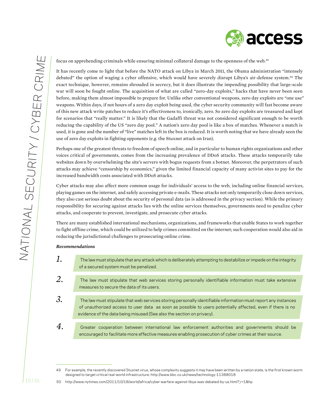

focus on apprehending criminals while ensuring minimal collateral damage to the openness of the web.49

It has recently come to light that before the NATO attack on Libya in March 2011, the Obama administration "intensely debated" the option of waging a cyber offensive, which would have severely disrupt Libya's air-defense system.<sup>50</sup> The exact technique, however, remains shrouded in secrecy, but it does illustrate the impending possibility that large-scale war will soon be fought online. The acquisition of what are called "zero-day exploits," hacks that have never been seen before, making them almost impossible to prepare for. Unlike other conventional weapons, zero day exploits are "one use" weapons. Within days, if not hours of a zero day exploit being used, the cyber security community will fast become aware of this new attack write patches to reduce it's effectiveness to, ironically, zero. So zero day exploits are treasured and kept for scenarios that "really matter." It is likely that the Gadaffi threat was not considered significant enough to be worth reducing the capability of the US "zero day pool." A nation's zero day pool is like a box of matches. Whenever a match is used, it is gone and the number of "live" matches left in the box is reduced. It is worth noting that we have already seen the use of zero day exploits in fighting opponents (e.g. the Stuxnet attack on Iran).

Perhaps one of the greatest threats to freedom of speech online, and in particular to human rights organizations and other voices critical of governments, comes from the increasing prevalence of DDoS attacks. These attacks temporarily take websites down by overwhelming the site's servers with bogus requests from a botnet. Moreover, the perpetrators of such attacks may achieve "censorship by economics," given the limited financial capacity of many activist sites to pay for the increased bandwidth costs associated with DDoS attacks.

Cyber attacks may also affect more common usage for individuals' access to the web, including online financial services, playing games on the internet, and safely accessing private e-mails. These attacks not only temporarily close down services, they also cast serious doubt about the security of personal data (as is addressed in the privacy section). While the primary responsibility for securing against attacks lies with the online services themselves, governments need to penalize cyber attacks, and cooperate to prevent, investigate, and prosecute cyber attacks.

There are many established international mechanisms, organizations, and frameworks that enable States to work together to fight offline crime, which could be utilized to help crimes committed on the internet; such cooperation would also aid in reducing the jurisdictional challenges to prosecuting online crime.

#### *Recommendations*

- *1.* The law must stipulate that any attack which is deliberately attempting to destabilize or impede on the integrity of a secured system must be penalized.
- *2.* The law must stipulate that web services storing personally identifiable information must take extensive measures to secure the data of its users.
- *3.* The law must stipulate that web services storing personally identifiable information must report any instances of unauthorized access to user data as soon as possible to users potentially affected, even if there is no evidence of the data being misused (See also the section on privacy).
- *4.* Greater cooperation between international law enforcement authorities and governments should be encouraged to facilitate more effective measures enabling prosecution of cyber crimes at their source.

<sup>49</sup> For example, the recently discovered Stuxnet virus, whose complexity suggests it may have been written by a nation state, is the first known worm designed to target critical real-world infrastructure: http://www.bbc.co.uk/news/technology-11388018

<sup>50</sup> http://www.nytimes.com/2011/10/18/world/africa/cyber-warfare-against-libya-was-debated-by-us.html?\_r=1&hp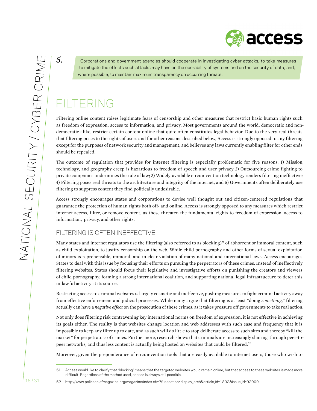access

*5.* Corporations and government agencies should cooperate in investigating cyber attacks, to take measures to mitigate the effects such attacks may have on the operability of systems and on the security of data, and, where possible, to maintain maximum transparency on occurring threats.

# Filtering

Filtering online content raises legitimate fears of censorship and other measures that restrict basic human rights such as freedom of expression, access to information, and privacy. Most governments around the world, democratic and nondemocratic alike, restrict certain content online that quite often constitutes legal behavior. Due to the very real threats that filtering poses to the rights of users and for other reasons described below, Access is strongly opposed to any filtering except for the purposes of network security and management, and believes any laws currently enabling filter for other ends should be repealed.

The outcome of regulation that provides for internet filtering is especially problematic for five reasons: 1) Mission, technology, and geography creep is hazardous to freedom of speech and user privacy 2) Outsourcing crime fighting to private companies undermines the rule of law; 3) Widely-available circumvention technology renders filtering ineffective; 4) Filtering poses real threats to the architecture and integrity of the internet, and 5) Governments often deliberately use filtering to suppress content they find politically undesirable.

Access strongly encourages states and corporations to devise well thought out and citizen-centered regulations that guarantee the protection of human rights both off- and online. Access is strongly opposed to any measures which restrict internet access, filter, or remove content, as these threaten the fundamental rights to freedom of expression, access to information, privacy, and other rights.

# Filtering is often ineffective

Many states and internet regulators use the filtering (also referred to as blocking)<sup>51</sup> of abhorrent or immoral content, such as child exploitation, to justify censorship on the web. While child pornography and other forms of sexual exploitation of minors is reprehensible, immoral, and in clear violation of many national and international laws, Access encourages States to deal with this issue by focusing their efforts on pursuing the perpetrators of these crimes. Instead of ineffectively filtering websites, States should focus their legislative and investigative efforts on punishing the creators and viewers of child pornography, forming a strong international coalition, and supporting national legal infrastructure to deter this unlawful activity at its source.

Restricting access to criminal websites is largely cosmetic and ineffective, pushing measures to fight criminal activity away from effective enforcement and judicial processes. While many argue that filtering is at least "doing *something*," filtering actually can have a *negative effect* on the prosecution of these crimes, as it takes pressure off governments to take real action.

Not only does filtering risk contravening key international norms on freedom of expression, it is not effective in achieving its goals either. The reality is that websites change location and web addresses with such ease and frequency that it is impossible to keep any filter up to date, and as such will do little to stop deliberate access to such sites and thereby "kill the market" for perpetrators of crimes. Furthermore, research shows that criminals are increasingly sharing through peer-topeer networks, and thus less content is actually being hosted on websites that could be filtered.52

Moreover, given the preponderance of circumvention tools that are easily available to internet users, those who wish to

<sup>51</sup> Access would like to clarify that "blocking" means that the targeted websites would remain online, but that access to these websites is made more difficult. Regardless of the method used, access is always still possible.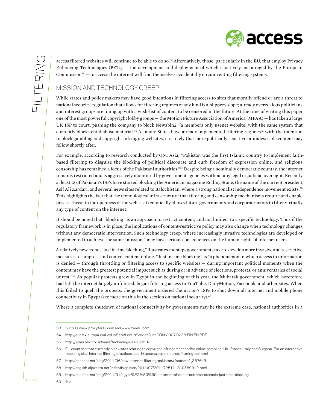access filtered websites will continue to be able to do so.<sup>53</sup> Alternatively, those, particularly in the EU, that employ Privacy Enhancing Technologies (PETs) — the development and deployment of which is actively encouraged by the European Commission<sup>54</sup> — to access the internet will find themselves accidentally circumventing filtering systems.

# MISSION AND TECHNOLOGY CREEP

While states and policy makers may have good intentions in filtering access to sites that morally offend or are a threat to national security, regulation that allows for filtering regimes of any kind is a slippery slope; already overzealous politicians and interest groups are lining up with a wish-list of content to be censored in the future. At the time of writing this paper, one of the most powerful copyright lobby groups — the Motion Picture Association of America (MPAA) — has taken a large UK ISP to court, pushing the company to block Newzbin2 (a members only usenet website) with the same system that currently blocks child abuse material.<sup>55</sup> As many States have already implemented filtering regimes<sup>56</sup> with the intention to block gambling and copyright infringing websites, it is likely that more politically sensitive or undesirable content may follow shortly after.

For example, according to research conducted by ONI Asia, "Pakistan was the first Islamic country to implement faithbased filtering to disguise the blocking of political discourse and curb freedom of expression online, and religious censorship has remained a focus of the Pakistani authorities."57 Despite being a nominally democratic country, the internet remains restricted and is aggressively monitored by government agencies without any legal or judicial oversight. Recently, at least 13 of Pakistan's ISPs have started blocking the American magazine Rolling Stone, the name of the current president, Asif Ali Zardari, and several news sites related to Balochistan, where a strong nationalist independence movement exists.<sup>58</sup> This highlights the fact that the technological infrastructure that filtering and censorship mechanisms require and enable poses a threat to the openness of the web, as it technically allows future governments and corporate actors to filter virtually any type of content on the internet.

It should be noted that "blocking" is an approach to restrict content, and not limited to a specific technology. Thus if the regulatory framework is in place, the implications of content-restrictive policy may also change when technology changes, without any democratic intervention. Such technology creep, where increasingly invasive technologies are developed or implemented to achieve the same "mission," may have serious consequences on the human rights of internet users.

A relatively new trend, "just in time blocking," illustrates the steps governments take to develop more invasive and restrictive measures to suppress and control content online. "Just in time blocking" is "a phenomenon in which access to information is denied — through throttling or filtering access to specific websites — during important political moments when the content may have the greatest potential impact such as during or in advance of elections, protests, or anniversaries of social unrest."59 As popular protests grew in Egypt in the beginning of this year, the Mubarak government, which heretofore had left the internet largely unfiltered, began filtering access to YouTube, DailyMotion, Facebook, and other sites. When this failed to quell the protests, the government ordered the nation's ISPs to shut down all internet and mobile phone connectivity in Egypt (see more on this in the section on national security). $60$ 

Where a complete shutdown of national connectivity by governments may be the extreme case, national authorities in a

<sup>53</sup> Such as www.proxyforall.com and www.zend2.com

<sup>54</sup> http://eur-lex.europa.eu/LexUriServ/LexUriServ.do?uri=COM:2007:0228:FIN:EN:PDF

<sup>55</sup> http://www.bbc.co.uk/news/technology-14035502

<sup>56</sup> EU countries that currently block sites relating to copyright infringement and/or online gambling: UK, France, Italy and Bulgaria. For an interactive map on global internet filtering practices, see: http://map.opennet.net/filtering-pol.html

<sup>57</sup> http://opennet.net/blog/2011/06/new-internet-filtering-pakistan#footnote1\_3876sff

<sup>58</sup> http://english.aljazeera.net/indepth/opinion/2011/07/2011725111310589912.html

<sup>59</sup> http://opennet.net/blog/2011/01/egypt%E2%80%99s-internet-blackout-extreme-example-just-time-blocking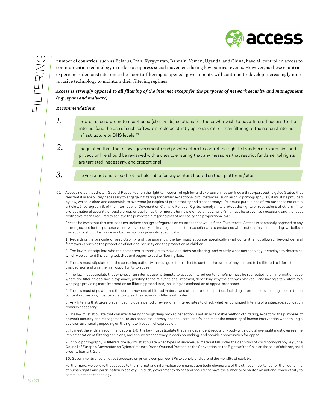

number of countries, such as Belarus, Iran, Kyrgyzstan, Bahrain, Yemen, Uganda, and China, have all controlled access to communication technology in order to suppress social movement during key political events. However, as these countries' experiences demonstrate, once the door to filtering is opened, governments will continue to develop increasingly more invasive technology to maintain their filtering regimes.

*Access is strongly opposed to all filtering of the internet except for the purposes of network security and management (e.g., spam and malware).*

#### *Recommendations*

- *1.* States should promote user-based (client-side) solutions for those who wish to have filtered access to the internet (and the use of such software should be strictly optional), rather than filtering at the national internet infrastructure or DNS levels.<sup>57</sup>
- *2.* Regulation that that allows governments and private actors to control the right to freedom of expression and privacy online should be reviewed with a view to ensuring that any measures that restrict fundamental rights are targeted, necessary, and proportional.
- *3.*
- ISPs cannot and should not be held liable for any content hosted on their platforms/sites.
- 61 Access notes that the UN Special Rapporteur on the right to freedom of opinion and expression has outlined a three-part test to guide States that feel that it is absolutely necessary to engage in filtering for certain exceptional circumstances, such as child pornography: "(1) it must be provided by law, which is clear and accessible to everyone (principles of predictability and transparency); (2) it must pursue one of the purposes set out in article 19, paragraph 3, of the International Covenant on Civil and Political Rights, namely: (i) to protect the rights or reputations of others; (ii) to protect national security or public order, or public health or morals (principle of legitimacy); and (3) it must be proven as necessary and the least restrictive means required to achieve the purported aim (principles of necessity and proportionality)."

 Access believes that this test does not include enough safeguards on countries that would filter. To reiterate, Access is adamantly opposed to any filtering except for the purposes of network security and management. In the exceptional circumstances when nations insist on filtering, we believe this activity should be circumscribed as much as possible, specifically:

 1. Regarding the principle of predictability and transparency, the law must stipulate specifically what content is not allowed, beyond general frameworks such as the protection of national security and the protection of children.

 2. The law must stipulate who the competent authority is to make decisions on filtering, and exactly what methodology it employs to determine which web content (including websites and pages) to add to filtering lists.

 3. The law must stipulate that the censoring authority make a good faith effort to contact the owner of any content to be filtered to inform them of this decision and give them an opportunity to appeal.

 4. The law must stipulate that whenever an internet user attempts to access filtered content, he/she must be redirected to an information page where the filtering decision is explained, pointing to the relevant legal informed, describing why the site was blocked, , and linking site visitors to a web page providing more information on filtering procedures, including an explanation of appeal processes.

 5. The law must stipulate that the content-owners of filtered material and other interested parties, including internet users desiring access to the content in question, must be able to appeal the decision to filter said content.

 6. Any filtering that takes place must include a periodic review of all filtered sites to check whether continued filtering of a site/page/application remains necessary.

 7. The law must stipulate that dynamic filtering through deep packet inspection is not an acceptable method of filtering, except for the purposes of network security and management. Its use poses real privacy risks to users, and fails to meet the necessity of human intervention when taking a decision as critically impeding on the right to freedom of expression.

 8. To meet the ends in recommendations 1-6, the law must stipulate that an independent regulatory body with judicial oversight must oversee the implementation of filtering decisions, and ensure transparency in decision-making, and provide opportunities for appeal.

 9. If child pornography is filtered, the law must stipulate what types of audiovisual material fall under the definition of child pornography (e.g., the Council of Europe's Convention on Cybercrime (art. 9) and Optional Protocolto the Convention on the Rights ofthe Child on the sale of children, child prostitution (art. 2c)).

 10. Governments should not put pressure on private companies/ISPs to uphold and defend the morality of society.

Furthermore, we believe that access to the internet and information communication technologies are of the utmost importance for the flourishing of human rights and participation in society. As such, governments do not and should not have the authority to shutdown national connectivity to communications technology.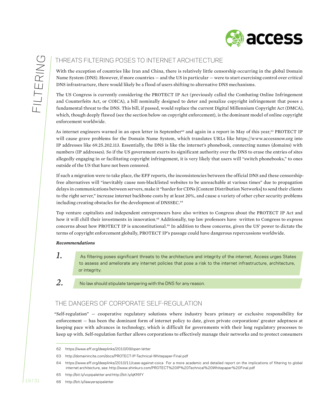

# Threats filtering poses to internet architecture

With the exception of countries like Iran and China, there is relatively little censorship occurring in the global Domain Name System (DNS). However, if more countries — and the US in particular — were to start exercising control over critical DNS infrastructure, there would likely be a flood of users shifting to alternative DNS mechanisms.

The US Congress is currently considering the PROTECT IP Act (previously called the Combating Online Infringement and Counterfeits Act, or COICA), a bill nominally designed to deter and penalize copyright infringement that poses a fundamental threat to the DNS. This bill, if passed, would replace the current Digital Millennium Copyright Act (DMCA), which, though deeply flawed (see the section below on copyright enforcement), is the dominant model of online copyright enforcement worldwide.

As internet engineers warned in an open letter in September<sup>62</sup> and again in a report in May of this year,<sup>63</sup> PROTECT IP will cause grave problems for the Domain Name System, which translates URLs like https://www.accessnow.org into IP addresses like 69.25.202.113. Essentially, the DNS is like the internet's phonebook, connecting names (domains) with numbers (IP addresses). So if the US government exerts its significant authority over the DNS to erase the entries of sites allegedly engaging in or facilitating copyright infringement, it is very likely that users will "switch phonebooks," to ones outside of the US that have not been censored.

If such a migration were to take place, the EFF reports, the inconsistencies between the official DNS and these censorshipfree alternatives will "inevitably cause non-blacklisted websites to be unreachable at various times" due to propagation delays in communications between servers, make it "harder for CDNs [Content Distribution Networks] to send their clients to the right server," increase internet backbone costs by at least 20%, and cause a variety of other cyber security problems including creating obstacles for the development of DNSSEC.<sup>64</sup>

Top venture capitalists and independent entrepreneurs have also written to Congress about the PROTECT IP Act and how it will chill their investments in innovation.<sup>65</sup> Additionally, top law professors have written to Congress to express concerns about how PROTECT IP is unconstitutional.66 In addition to these concerns, given the US' power to dictate the terms of copyright enforcement globally, PROTECT IP's passage could have dangerous repercussions worldwide.

#### *Recommendations*

*1.*

As filtering poses significant threats to the architecture and integrity of the internet, Access urges States to assess and ameliorate any internet policies that pose a risk to the internet infrastructure, architecture, or integrity.

*2.*

No law should stipulate tampering with the DNS for any reason.

# The dangers of corporate self-regulation

"Self-regulation" — cooperative regulatory solutions where industry bears primary or exclusive responsibility for enforcement — has been the dominant form of internet policy to date, given private corporations' greater adeptness at keeping pace with advances in technology, which is difficult for governments with their long regulatory processes to keep up with. Self-regulation further allows corporations to effectively manage their networks and to protect consumers

66 http://bit.ly/lawyerspipaletter

<sup>62</sup> https://www.eff.org/deeplinks/2010/09/open-letter

<sup>63</sup> http://domainincite.com/docs/PROTECT-IP-Technical-Whitepaper-Final.pdf

<sup>64</sup> https://www.eff.org/deeplinks/2010/11/case-against-coica For a more academic and detailed report on the implications of filtering to global internet architecture, see: http://www.shinkuro.com/PROTECT%20IP%20Technical%20Whitepaper%20Final.pdf

<sup>65</sup> http://bit.ly/vcpipaletter and http://bit.ly/qKf6fY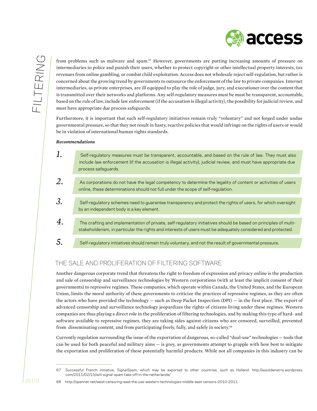

from problems such as malware and spam.<sup>67</sup> However, governments are putting increasing amounts of pressure on intermediaries to police and punish their users, whether to protect copyright or other intellectual property interests, tax revenues from online gambling, or combat child exploitation. Access does not wholesale reject self-regulation, but rather is concerned about the growing trend by governments to outsource the enforcement of the law to private companies. Internet intermediaries, as private enterprises, are ill equipped to play the role of judge, jury, and executioner over the content that is transmitted over their networks and platforms. Any self-regulatory measures must be must be transparent, accountable, based on the rule of law, include law enforcement (if the accusation is illegal activity), the possibility for judicial review, and must have appropriate due process safeguards.

Furthermore, it is important that such self-regulatory initiatives remain truly "voluntary" and not forged under undue governmental pressure, so that they not result in hasty, reactive policies that would infringe on the rights of users or would be in violation of international human rights standards.

#### *Recommendations*

| 1.             | Self-regulatory measures must be transparent, accountable, and based on the rule of law. They must also<br>include law enforcement (if the accusation is illegal activity), judicial review, and must have appropriate due<br>process safequards. |
|----------------|---------------------------------------------------------------------------------------------------------------------------------------------------------------------------------------------------------------------------------------------------|
| 2.             | As corporations do not have the legal competency to determine the legality of content or activities of users<br>online, these determinations should not full under the scope of self-regulation.                                                  |
| 3.             | Self-regulatory schemes need to guarantee transparency and protect the rights of users, for which oversight<br>by an independent body is a key element.                                                                                           |
| $\overline{4}$ | The crafting and implementation of private, self-regulatory initiatives should be based on principles of multi-<br>stakeholderism, in particular the rights and interests of users must be adequately considered and protected.                   |
| $\overline{5}$ | Self-regulatory initiatives should remain truly voluntary, and not the result of governmental pressure.                                                                                                                                           |

# The Sale and Proliferation of Filtering Software

Another dangerous corporate trend that threatens the right to freedom of expression and privacy online is the production and sale of censorship and surveillance technologies by Western corporations (with at least the implicit consent of their governments) to repressive regimes. These companies, which operate within Canada, the United States, and the European Union, limits the moral authority of these governments to criticize the practices of repressive regimes, as they are often the actors who have provided the technology  $-$  such as Deep Packet Inspection (DPI)  $-$  in the first place. The export of advanced censorship and surveillance technology jeopardizes the rights of citizens living under these regimes. Western companies are thus playing a direct role in the proliferation of filtering technologies, and by making this type of hard- and software available to repressive regimes, they are taking sides against citizens who are censored, surveilled, prevented from disseminating content, and from participating freely, fully, and safely in society.68

Currently regulation surrounding the issue of the exportation of dangerous, so-called "dual-use" technologies — tools that can be used for both peaceful and military aims — is grey, as governments attempt to grapple with how best to mitigate the exportation and proliferation of these potentially harmful products. While not all companies in this industry can be

<sup>67</sup> Successful French initiative, SignalSpam, which may be exported to other countries, such as Holland: http://woutdenatris.wordpress. com/2011/02/15/will-signal-spam-take-off-in-the-netherlands/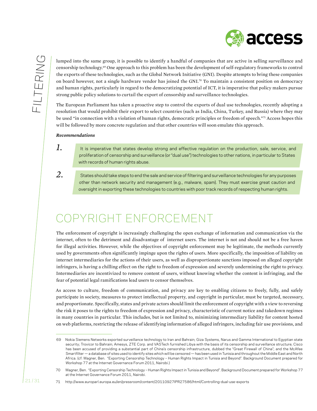

lumped into the same group, it is possible to identify a handful of companies that are active in selling surveillance and censorship technology.69 One approach to this problem has been the development of self-regulatory frameworks to control the exports of these technologies, such as the Global Network Initiative (GNI). Despite attempts to bring these companies on board however, not a single hardware vendor has joined the GNI.70 To maintain a consistent position on democracy and human rights, particularly in regard to the democratizing potential of ICT, it is imperative that policy makers pursue strong public policy solutions to curtail the export of censorship and surveillance technologies.

The European Parliament has taken a proactive step to control the exports of dual use technologies, recently adopting a resolution that would prohibit their export to select countries (such as India, China, Turkey, and Russia) where they may be used "in connection with a violation of human rights, democratic principles or freedom of speech."71 Access hopes this will be followed by more concrete regulation and that other countries will soon emulate this approach.

#### *Recommendations*

*1.*

*2.*

- It is imperative that states develop strong and effective regulation on the production, sale, service, and proliferation of censorship and surveillance (or "dual use") technologies to other nations, in particular to States with records of human rights abuse.
- States should take steps to end the sale and service of filtering and surveillance technologies for any purposes other than network security and management (e.g., malware, spam). They must exercise great caution and oversight in exporting these technologies to countries with poor track records of respecting human rights.

# Copyright Enforcement

The enforcement of copyright is increasingly challenging the open exchange of information and communication via the internet, often to the detriment and disadvantage of internet users. The internet is not and should not be a free haven for illegal activities. However, while the objectives of copyright enforcement may be legitimate, the methods currently used by governments often significantly impinge upon the rights of users. More specifically, the imposition of liability on internet intermediaries for the actions of their users, as well as disproportionate sanctions imposed on alleged copyright infringers, is having a chilling effect on the right to freedom of expression and severely undermining the right to privacy. Intermediaries are incentivized to remove content of users, without knowing whether the content is infringing, and the fear of potential legal ramifications lead users to censor themselves.

As access to culture, freedom of communication, and privacy are key to enabling citizens to freely, fully, and safely participate in society, measures to protect intellectual property, and copyright in particular, must be targeted, necessary, and proportionate. Specifically, states and private actors should limit the enforcement of copyright with a view to reversing the risk it poses to the rights to freedom of expression and privacy, characteristic of current notice and takedown regimes in many countries in particular. This includes, but is not limited to, minimizing intermediary liability for content hosted on web platforms, restricting the release of identifying information of alleged infringers, including fair use provisions, and

<sup>69</sup> Nokia Siemens Networks exported surveillance technology to Iran and Bahrain; Giza Systems, Narus and Gamma International to Egyptian state security; Trovicor to Bahrain; Amesys, ZTE Corp. and VASTech furnished Libya with the basis of its censorship and surveillance structure; Cisco has been accused of providing a substantial part of China's censorship infrastructure, dubbed the "Great Firewall of China"; and the McAfee Smartfilter — a database of sites used to identify sites which will be censored — has been used in Tunisia and throughout the Middle East and North Africa. (cf: Wagner, Ben. "Exporting Censorship Technology – Human Rights Impact in Tunisia and Beyond". Background Document prepared for Workshop 77 at the Internet Governance Forum 2011, Nairobi.)

<sup>70</sup> Wagner, Ben. "Exporting Censorship Technology – Human Rights Impact in Tunisia and Beyond". Background Document prepared for Workshop 77 at the Internet Governance Forum 2011, Nairobi.

<sup>71</sup> http://www.europarl.europa.eu/en/pressroom/content/20110927IPR27586/html/Controlling-dual-use-exports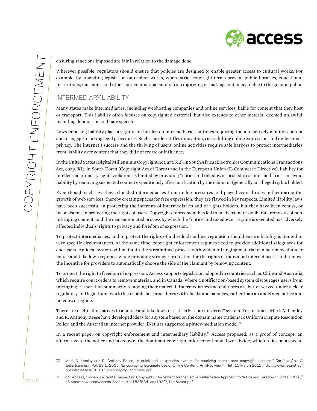access

ensuring sanctions imposed are fair in relation to the damage done.

Wherever possible, regulators should ensure that policies are designed to enable greater access to cultural works. For example, by amending legislation on orphan works, where strict copyright terms prevent public libraries, educational institutions, museums, and other non-commercial actors from digitizing or making content available to the general public.

# Intermediary liability

Many states make intermediaries, including webhosting companies and online services, liable for content that they host or transport. This liability often focuses on copyrighted material, but also extends to other material deemed unlawful, including defamation and hate speech.

Laws imposing liability place a significant burden on intermediaries, at times requiring them to actively monitor content and to engage in taxing legal procedures. Such a burden stifles innovation, risks chilling online expression, and undermines privacy. The internet's success and the thriving of users' online activities require safe harbors to protect intermediaries from liability over content that they did not create or influence.

In the United States (Digital Millennium Copyright Act, art. 512), in South Africa (Electronics Communications Transactions Act, chap. XI), in South Korea (Copyright Act of Korea) and in the European Union (E-Commerce Directive), liability for intellectual property rights violations is limited by providing "notice and takedown" procedures: intermediaries can avoid liability by removing suspected content expeditiously after notification by the claimant (generally an alleged rights holder).

Even though such laws have shielded intermediaries from undue pressures and played critical roles in facilitating the growth of web services, thereby creating spaces for free expression, they are flawed in key respects. Limited liability laws have been successful in protecting the interests of intermediaries and of rights holders, but they have been remiss, or inconsistent, in protecting the rights of users. Copyright enforcement has led to inadvertent or deliberate removals of noninfringing content, and the near-automated process by which the "notice and takedown" regime is executed has adversely affected individuals' rights to privacy and freedom of expression.

To protect intermediaries, and to protect the rights of individuals online, regulation should ensure liability is limited to very specific circumstances. At the same time, copyright enforcement regimes need to provide additional safeguards for end-users. An ideal system will maintain the streamlined process with which infringing material can be removed under notice and takedown regimes, while providing stronger protection for the rights of individual internet users, and remove the incentive for providers to automatically choose the side of the claimant by removing content.

To protect the right to freedom of expression, Access supports legislation adopted in countries such as Chile and Australia, which require court orders to remove material, and in Canada, where a notification-based system discourages users from infringing, rather than summarily removing their material. Intermediaries and end-users are better served under a clear regulatory and legal framework that establishes procedures with checks and balances, rather than an undefined notice and takedown regime.

There are useful alternatives to a notice and takedown or a strictly "court-ordered" system. For instance, Mark A. Lemley and R. Anthony Reese have developed ideas for a system based on the domain name trademark Uniform Dispute Resolution Policy, and the Australian internet provider iiNet has suggested a piracy-mediation model.<sup>72</sup>

In a recent paper on copyright enforcement and intermediary liability,<sup>73</sup> Access proposed, as a proof of concept, an alternative to the notice and takedown, the dominant copyright enforcement model worldwide, which relies on a special

73 c.f.: Access, "Towards a Rights-Respecting Copyright Enforcement Mechanism: An Alternative Approach to Notice and Takedown", 2011: https:// s3.amazonaws.com/access.3cdn.net/1a153f88d1ada103f3\_1cm6ivbpt.pdf

<sup>72</sup> Mark A. Lemley and R. Anthony Reese, "A quick and inexpensive system for resolving peer-to-peer copyright disputes," *Cardozo Arts & Entertainment*, Vol. 23:1, 2005. "Encouraging legitimate use of Online Content. An iiNet view," iiNet, 15 March 2011, http://www.iinet.net.au/ press/releases/201103-encouraging-legitimate.pdf.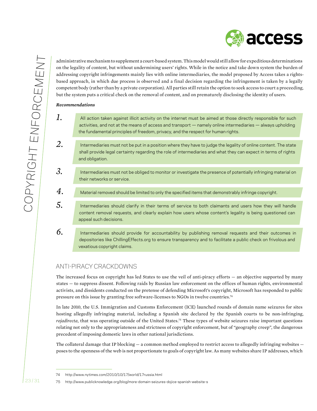

administrative mechanism to supplement a court-based system. This model would still allow for expeditious determinations on the legality of content, but without undermining users' rights. While in the notice and take down system the burden of addressing copyright infringements mainly lies with online intermediaries, the model proposed by Access takes a rightsbased approach, in which due process is observed and a final decision regarding the infringement is taken by a legally competent body (rather than by a private corporation). All parties still retain the option to seek access to court a proceeding, but the system puts a critical check on the removal of content, and on prematurely disclosing the identity of users.

#### *Recommendations*

- *1.* All action taken against illicit activity on the internet must be aimed at those directly responsible for such activities, and not at the means of access and transport — namely online intermediaries — always upholding the fundamental principles of freedom, privacy, and the respect for human rights.
- *2.* Intermediaries must not be put in a position where they have to judge the legality of online content. The state shall provide legal certainty regarding the role of intermediaries and what they can expect in terms of rights and obligation.
- *3.* Intermediaries must not be obliged to monitor or investigate the presence of potentially infringing material on their networks or service.
- *4.* Material removed should be limited to only the specified items that demonstrably infringe copyright.
- *5.* Intermediaries should clarify in their terms of service to both claimants and users how they will handle content removal requests, and clearly explain how users whose content's legality is being questioned can appeal such decisions.
- *6.* Intermediaries should provide for accountability by publishing removal requests and their outcomes in depositories like ChillingEffects.org to ensure transparency and to facilitate a public check on frivolous and vexatious copyright claims.

## Anti-piracy crackdowns

The increased focus on copyright has led States to use the veil of anti-piracy efforts — an objective supported by many states — to suppress dissent. Following raids by Russian law enforcement on the offices of human rights, environmental activists, and dissidents conducted on the pretense of defending Microsoft's copyright, Microsoft has responded to public pressure on this issue by granting free software-licenses to NGOs in twelve countries.74

In late 2010, the U.S. Immigration and Customs Enforcement (ICE) launched rounds of domain name seizures for sites hosting allegedly infringing material, including a Spanish site declared by the Spanish courts to be non-infringing, *rojadirecta*, that was operating outside of the United States.75 These types of website seizures raise important questions relating not only to the appropriateness and strictness of copyright enforcement, but of "geography creep", the dangerous precedent of imposing domestic laws in other national jurisdictions.

The collateral damage that IP blocking — a common method employed to restrict access to allegedly infringing websites poses to the openness of the web is not proportionate to goals of copyright law. As many websites share IP addresses, which

<sup>74</sup> http://www.nytimes.com/2010/10/17/world/17russia.html

<sup>75</sup> http://www.publicknowledge.org/blog/more-domain-seizures-dojice-spanish-website-s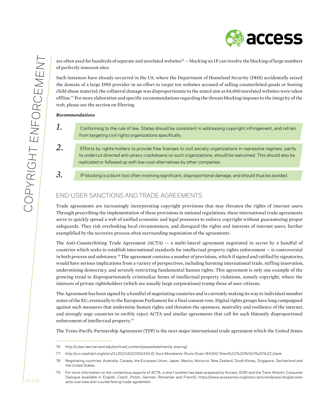access

are often used for hundreds of separate and unrelated websites<sup>76</sup> — blocking an IP can involve the blocking of large numbers of perfectly innocent sites.

Such instances have already occurred in the US, where the Department of Homeland Security (DHS) accidentally seized the domain of a large DNS provider in an effort to target ten websites accused of selling counterfeited goods or hosting child abuse material; the collateral damage was disproportionate to the stated aim as 84,000 unrelated websites were taken offline.77 For more elaboration and specific recommendations regarding the threats blocking imposes to the integrity of the web, please see the section on filtering.

#### *Recommendations*

- *1.* Conforming to the rule of law, States should be consistent in addressing copyright infringement, and refrain from targeting civil rights organizations specifically.
- *2.* Efforts by rights-holders to provide free licenses to civil society organizations in repressive regimes, partly to undercut directed anti-piracy crackdowns on such organizations, should be welcomed. This should also be replicated or followed up with low-cost alternatives by other companies.
- *3.* IP blocking is a blunt tool often involving significant, disproportional damage, and should thus be avoided.

# End-user sanctions and trade agreements

Trade agreements are increasingly incorporating copyright provisions that may threaten the rights of internet users. Through prescribing the implementation of these provisions in national regulations, these international trade agreements serve to quickly spread a web of unified economic and legal pressures to enforce copyright without guaranteeing proper safeguards. They risk overlooking local circumstances, and disregard the rights and interests of internet users, further exemplified by the secretive process often surrounding negotiation of the agreements.

The Anti-Counterfeiting Trade Agreement (ACTA) — a multi-lateral agreement negotiated in secret by a handful of countries which seeks to establish international standards for intellectual property rights enforcement — is controversial in both process and substance.78 The agreement contains a number of provisions, which if signed and ratified by signatories, would have serious implications from a variety of perspectives, including harming international trade, stifling innovation, undermining democracy, and severely restricting fundamental human rights. This agreement is only one example of the growing trend to disproportionately criminalize forms of intellectual property violations, namely copyright, where the interests of private rightsholders (which are usually large corporations) trump those of user-citizens.

The Agreement has been signed by a handful of negotiating countries and is currently making its way to individual member states of the EU, eventually to the European Parliament for a final consent vote. Digital rights groups have long campaigned against such measures that undermine human rights and threaten the openness, neutrality and resilience of the internet, and strongly urge countries to swiftly reject ACTA and similar agreements that call for such blatantly disproportional enforcement of intellectual property.79

The Trans-Pacific Partnership Agreement (TPP) is the next major international trade agreement which the United States

<sup>76</sup> http://cyber.law.harvard.edu/archived content/people/edelman/ip-sharing/

<sup>77</sup> http://yro.slashdot.org/story/11/02/16/2239245/US-Govt-Mistakenly-Shuts-Down-84000-Sites%22%20%5Ct%20%22\_blank

<sup>78</sup> Negotiating countries: Australia, Canada, the European Union, Japan, Mexico, Morocco, New Zealand, South Korea, Singapore, Switzerland and the United States.

<sup>79</sup> For more information on the contentious aspects of ACTA, a short booklet has been prepared by Access, EDRi and the Trans Atlantic Consumer Dialogue (available in English, Czech, Polish, German, Romanian and French): https://www.accessnow.org/policy-activism/press-blog/accessacta-overview-anti-counterfeiting-trade-agreement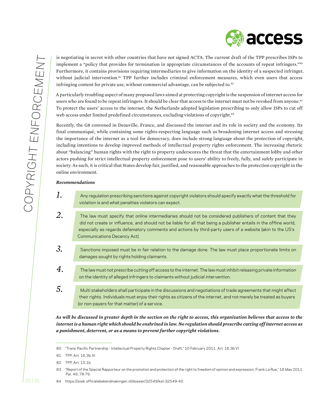is negotiating in secret with other countries that have not signed ACTA. The current draft of the TPP prescribes ISPs to implement a "policy that provides for termination in appropriate circumstances of the accounts of repeat infringers."80 Furthermore, it contains provisions requiring intermediaries to give information on the identity of a suspected infringer, without judicial intervention.<sup>81</sup> TPP further includes criminal enforcement measures, which even users that access infringing content for private use, without commercial advantage, can be subjected to. $82$ 

A particularly troubling aspect of many proposed laws aimed at protecting copyright is the suspension of internet access for users who are found to be repeat infringers. It should be clear that access to the internet must not be revoked from anyone.<sup>83</sup> To protect the users' access to the internet, the Netherlands adopted legislation prescribing to only allow ISPs to cut off web access under limited predefined circumstances, excluding violations of copyright.<sup>84</sup>

Recently, the G8 convened in Deauville, France, and discussed the internet and its role in society and the economy. Its final communiqué, while containing some rights-respecting language such as broadening internet access and stressing the importance of the internet as a tool for democracy, does include strong language about the protection of copyright, including intentions to develop improved methods of intellectual property rights enforcement. The increasing rhetoric about "balancing" human rights with the right to property underscores the threat that the entertainment lobby and other actors pushing for strict intellectual property enforcement pose to users' ability to freely, fully, and safely participate in society. As such, it is critical that States develop fair, justified, and reasonable approaches to the protection copyright in the online environment.

#### *Recommendations*

- *1.* Any regulation prescribing sanctions against copyright violators should specify exactly what the threshold for violation is and what penalties violators can expect.
- *2.* The law must specify that online intermediaries should not be considered publishers of content that they did not create or influence, and should not be liable for all that being a publisher entails in the offline world, especially as regards defamatory comments and actions by third-party users of a website (akin to the US's Communications Decency Act).
- *3.* Sanctions imposed must be in fair relation to the damage done. The law must place proportionate limits on damages sought by rights holding claimants.
- *4.* The law must not prescribe cutting off access to the internet. The law mustinhibitreleasing private information on the identity of alleged infringers to claimants without judicial intervention.
- *5.* Multi stakeholders shall participate in the discussions and negotiations of trade agreements that might affect their rights. Individuals must enjoy their rights as citizens of the internet, and not merely be treated as buyers (or non-payers for that matter) of a service.

*As will be discussed in greater depth in the section on the right to access, this organization believes that access to the internet is a human right which should be enshrined in law. No regulation should prescribe cutting off internet access as a punishment, deterrent, or as a means to prevent further copyright violations.*

<sup>80 &</sup>quot;Trans-Pacific Partnership - Intellectual Property Rights Chapter - Draft," 10 February 2011, Art. 16.3b.VI

<sup>81</sup> TPP, Art. 16.3b.XI

<sup>82</sup> TPP, Art. 15.1b

<sup>83 &</sup>quot;Report of the Special Rapporteur on the promotion and protection of the right to freedom of opinion and expression, Frank La Rue," 16 May 2011. Par. 49, 78-79.

<sup>84</sup> https://zoek.officielebekendmakingen.nl/dossier/32549/kst-32549-40.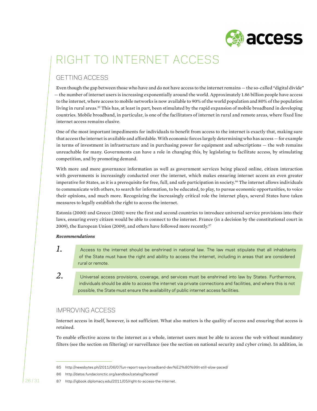

# Right to Internet Access

# Getting access

Even though the gap between those who have and do not have access to the internet remains — the so-called "digital divide" — the number of internet users is increasing exponentially around the world. Approximately 1.86 billion people have access to the internet, where access to mobile networks is now available to 90% of the world population and 80% of the population living in rural areas.<sup>85</sup> This has, at least in part, been stimulated by the rapid expansion of mobile broadband in developing countries. Mobile broadband, in particular, is one of the facilitators of internet in rural and remote areas, where fixed line internet access remains elusive.

One of the most important impediments for individuals to benefit from access to the internet is exactly that, making sure that access the internet is available and affordable. With economic forces largely determining who has access — for example in terms of investment in infrastructure and in purchasing power for equipment and subscriptions — the web remains unreachable for many. Governments can have a role in changing this, by legislating to facilitate access, by stimulating competition, and by promoting demand.

With more and more governance information as well as government services being placed online, citizen interaction with governments is increasingly conducted over the internet, which makes ensuring internet access an even greater imperative for States, as it is a prerequisite for free, full, and safe participation in society.<sup>86</sup> The internet allows individuals to communicate with others, to search for information, to be educated, to play, to pursue economic opportunities, to voice their opinions, and much more. Recognizing the increasingly critical role the internet plays, several States have taken measures to legally establish the right to access the internet.

Estonia (2000) and Greece (2001) were the first and second countries to introduce universal service provisions into their laws, ensuring every citizen would be able to connect to the internet. France (in a decision by the constitutional court in 2009), the European Union (2009), and others have followed more recently.<sup>87</sup>

#### *Recommendations*

- *1.* Access to the internet should be enshrined in national law. The law must stipulate that all inhabitants of the State must have the right and ability to access the internet, including in areas that are considered rural or remote.
- *2.* Universal access provisions, coverage, and services must be enshrined into law by States. Furthermore, individuals should be able to access the internet via private connections and facilities, and where this is not possible, the State must ensure the availability of public internet access facilities.

# Improving access

Internet access in itself, however, is not sufficient. What also matters is the quality of access and ensuring that access is retained.

To enable effective access to the internet as a whole, internet users must be able to access the web without mandatory filters (see the section on filtering) or surveillance (see the section on national security and cyber crime). In addition, in

<sup>85</sup> http://newsbytes.ph/2011/06/07/un-report-says-broadband-dev%E2%80%99t-still-slow-paced/

<sup>86</sup> http://datos.fundacionctic.org/sandbox/catalog/faceted/

<sup>87</sup> http://igbook.diplomacy.edu/2011/05/right-to-access-the-internet.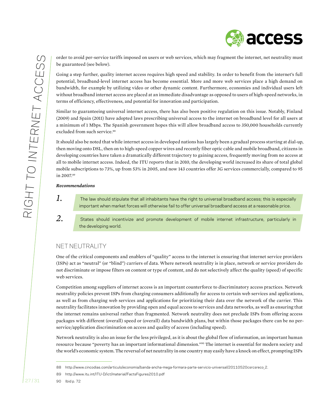$\circ$ GHT TO INTERNET ACCESS in 2007.89 *Recommendations 1.*

order to avoid per-service tariffs imposed on users or web services, which may fragment the internet, net neutrality must be guaranteed (see below).

Going a step further, quality internet access requires high speed and stability. In order to benefit from the internet's full potential, broadband-level internet access has become essential. More and more web services place a high demand on bandwidth, for example by utilizing video or other dynamic content. Furthermore, economies and individual users left without broadband internet access are placed at an immediate disadvantage as opposed to users of high-speed networks, in terms of efficiency, effectiveness, and potential for innovation and participation.

Similar to guaranteeing universal internet access, there has also been positive regulation on this issue. Notably, Finland (2009) and Spain (2011) have adopted laws prescribing universal access to the internet on broadband level for all users at a minimum of 1 Mbps. The Spanish government hopes this will allow broadband access to 350,000 households currently excluded from such service.<sup>88</sup>

It should also be noted that while internet access in developed nations has largely been a gradual process starting at dial-up, then moving onto DSL, then on to high-speed copper wires and recently fiber optic cable and mobile broadband, citizens in developing countries have taken a dramatically different trajectory to gaining access, frequently moving from no access at all to mobile internet access. Indeed, the ITU reports that in 2010, the developing world increased its share of total global mobile subscriptions to 73%, up from 53% in 2005, and now 143 countries offer 3G services commercially, compared to 95

The law should stipulate that all inhabitants have the right to universal broadband access; this is especially important when market forces will otherwise fail to offer universal broadband access at a reasonable price.

*2.* States should incentivize and promote development of mobile internet infrastructure, particularly in the developing world.

# Net neutrality

One of the critical components and enablers of "quality" access to the internet is ensuring that internet service providers (ISPs) act as "neutral" (or "blind") carriers of data. Where network neutrality is in place, network or service providers do not discriminate or impose filters on content or type of content, and do not selectively affect the quality (speed) of specific web services.

Competition among suppliers of internet access is an important counterforce to discriminatory access practices. Network neutrality policies prevent ISPs from charging consumers additionally for access to certain web services and applications, as well as from charging web services and applications for prioritizing their data over the network of the carrier. This neutrality facilitates innovation by providing open and equal access to services and data networks, as well as ensuring that the internet remains universal rather than fragmented. Network neutrality does not preclude ISPs from offering access packages with different (overall) speed or (overall) data bandwidth plans, but within those packages there can be no perservice/application discrimination on access and quality of access (including speed).

Network neutrality is also an issue for the less privileged, as it is about the global flow of information, an important human resource because "poverty has an important informational dimension."90 The internet is essential for modern society and the world's economic system. The reversal of net neutrality in one country may easily have a knock on effect, prompting ISPs

 $\overline{\widetilde{\alpha}}$ 

<sup>88</sup> http://www.cincodias.com/articulo/economia/banda-ancha-mega-formara-parte-servicio-universal/20110520csrcsreco 2.

<sup>89</sup> http://www.itu.int/ITU-D/ict/material/FactsFigures2010.pdf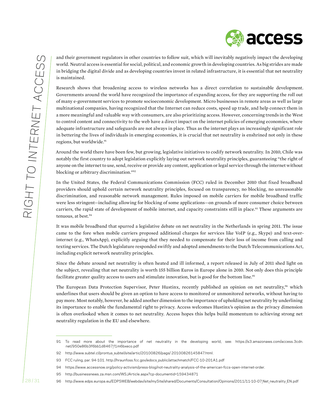

and their government regulators in other countries to follow suit, which will inevitably negatively impact the developing world. Neutral access is essential for social, political, and economic growth in developing countries. As big strides are made in bridging the digital divide and as developing countries invest in related infrastructure, it is essential that net neutrality is maintained.

Research shows that broadening access to wireless networks has a direct correlation to sustainable development. Governments around the world have recognized the importance of expanding access, for they are supporting the roll out of many e-government services to promote socioeconomic development. Micro businesses in remote areas as well as large multinational companies, having recognized that the Internet can reduce costs, speed up trade, and help connect them in a more meaningful and valuable way with consumers, are also prioritizing access. However, concerning trends in the West to control content and connectivity to the web have a direct impact on the internet policies of emerging economies, where adequate infrastructure and safeguards are not always in place. Thus as the internet plays an increasingly significant role in bettering the lives of individuals in emerging economies, it is crucial that net neutrality is enshrined not only in these regions, but worldwide.<sup>91</sup>

Around the world there have been few, but growing, legislative initiatives to codify network neutrality. In 2010, Chile was notably the first country to adopt legislation explicitly laying out network neutrality principles, guaranteeing "the right of anyone on the internet to use, send, receive or provide any content, application or legal service through the internet without blocking or arbitrary discrimination."92

In the United States, the Federal Communications Commission (FCC) ruled in December 2010 that fixed broadband providers should uphold certain network neutrality principles, focused on transparency, no blocking, no unreasonable discrimination, and reasonable network management. Rules imposed on mobile carriers for mobile broadband traffic were less stringent—including allowing for blocking of some applications—on grounds of more consumer choice between carriers, the rapid state of development of mobile internet, and capacity constraints still in place.93 These arguments are tenuous, at best.<sup>94</sup>

It was mobile broadband that spurred a legislative debate on net neutrality in the Netherlands in spring 2011. The issue came to the fore when mobile carriers proposed additional charges for services like VoIP (e.g., Skype) and text-overinternet (e.g., WhatsApp), explicitly arguing that they needed to compensate for their loss of income from calling and texting services. The Dutch legislature responded swiftly and adopted amendments to the Dutch Telecommunications Act, including explicit network neutrality principles.

Since the debate around net neutrality is often heated and ill informed, a report released in July of 2011 shed light on the subject, revealing that net neutrality is worth 155 billion Euros in Europe alone in 2010. Not only does this principle facilitate greater quality access to users and stimulate innovation, but is good for the bottom line.<sup>95</sup>

The European Data Protection Supervisor, Peter Hustinx, recently published an opinion on net neutrality,<sup>96</sup> which underlines that users should be given an option to have access to monitored or unmonitored networks, without having to pay more. Most notably, however, he added another dimension to the importance of upholding net neutrality by underlining its importance to enable the fundamental right to privacy. Access welcomes Hustinx's opinion as the privacy dimension is often overlooked when it comes to net neutrality. Access hopes this helps build momentum to achieving strong net neutrality regulation in the EU and elsewhere.

<sup>91</sup> To read more about the importance of net neutrality in the developing world, see: https://s3.amazonaws.com/access.3cdn. net/950e86b3f6bb1d8467f1m6bxeco.pdf

<sup>92</sup> http://www.subtel.cl/prontus\_subtel/site/artic/20100826/pags/ 20100826145847.html.

<sup>93</sup> FCC ruling, par. 94-101. http://hraunfoss.fcc.gov/edocs\_public/attachmatch/FCC-10-201A1.pdf

<sup>94</sup> https://www.accessnow.org/policy-activism/press-blog/not-neutrality-analysis-of-the-american-fccs-open-internet-order.

<sup>95</sup> http://businessnews.za.msn.com/WSJArticle.aspx?cp-documentid=159434871

<sup>96</sup> http://www.edps.europa.eu/EDPSWEB/webdav/site/mySite/shared/Documents/Consultation/Opinions/2011/11-10-07 Net neutrality EN.pdf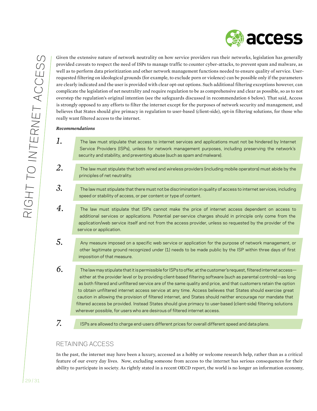

Given the extensive nature of network neutrality on how service providers run their networks, legislation has generally provided caveats to respect the need of ISPs to manage traffic to counter cyber-attacks, to prevent spam and malware, as well as to perform data prioritization and other network management functions needed to ensure quality of service. Userrequested filtering on ideological grounds (for example, to exclude porn or violence) can be possible only if the parameters are clearly indicated and the user is provided with clear opt-out options. Such additional filtering exceptions however, can complicate the legislation of net neutrality and require regulation to be as comprehensive and clear as possible, so as to not overstep the regulation's original intention (see the safeguards discussed in recommendation 6 below). That said, Access is strongly opposed to any efforts to filter the internet except for the purposes of network security and management, and believes that States should give primacy in regulation to user-based (client-side), opt-in filtering solutions, for those who really want filtered access to the internet.

#### *Recommendations*

- *1.* The law must stipulate that access to internet services and applications must not be hindered by Internet Service Providers (ISPs), unless for network management purposes, including preserving the network's security and stability, and preventing abuse (such as spam and malware).
- *2.* The law must stipulate that both wired and wireless providers (including mobile operators) must abide by the principles of net neutrality.
- *3.* The law must stipulate that there must not be discrimination in quality of access to internet services, including speed or stability of access, or per content or type of content.
- *4.* The law must stipulate that ISPs cannot make the price of internet access dependent on access to additional services or applications. Potential per-service charges should in principle only come from the application/web service itself and not from the access provider, unless so requested by the provider of the service or application.
- *5.* Any measure imposed on a specific web service or application for the purpose of network management, or other legitimate ground recognized under (1) needs to be made public by the ISP within three days of first imposition of that measure.
- *6.* The law may stipulate that it is permissible for ISPs to offer, at the customer's request, filtered internet access either at the provider level or by providing client-based filtering software (such as parental controls)—as long as both filtered and unfiltered service are of the same quality and price, and that customers retain the option to obtain unfiltered internet access service at any time. Access believes that States should exercise great caution in allowing the provision of filtered internet, and States should neither encourage nor mandate that filtered access be provided. Instead States should give primacy to user-based (client-side) filtering solutions wherever possible, for users who are desirous of filtered internet access.
- *7.*
- ISPs are allowed to charge end-users different prices for overall different speed and data plans.

#### Retaining access

In the past, the internet may have been a luxury, accessed as a hobby or welcome research help, rather than as a critical feature of our every day lives. Now, excluding someone from access to the internet has serious consequences for their ability to participate in society. As rightly stated in a recent OECD report, the world is no longer an information economy,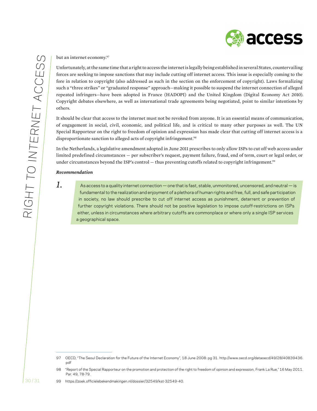

but an internet economy.97

Unfortunately, at the same time that a right to access the internet is legally being established in several States, countervailing forces are seeking to impose sanctions that may include cutting off internet access. This issue is especially coming to the fore in relation to copyright (also addressed as such in the section on the enforcement of copyright). Laws formalizing such a "three strikes" or "graduated response" approach—making it possible to suspend the internet connection of alleged repeated infringers—have been adopted in France (HADOPI) and the United Kingdom (Digital Economy Act 2010). Copyright debates elsewhere, as well as international trade agreements being negotiated, point to similar intentions by others.

It should be clear that access to the internet must not be revoked from anyone. It is an essential means of communication, of engagement in social, civil, economic, and political life, and is critical to many other purposes as well. The UN Special Rapporteur on the right to freedom of opinion and expression has made clear that cutting off internet access is a disproportionate sanction to alleged acts of copyright infringement.<sup>98</sup>

In the Netherlands, a legislative amendment adopted in June 2011 prescribes to only allow ISPs to cut off web access under limited predefined circumstances — per subscriber's request, payment failure, fraud, end of term, court or legal order, or under circumstances beyond the ISP's control — thus preventing cutoffs related to copyright infringement.<sup>99</sup>

#### *Recommendation*

*1.* As access to <sup>a</sup> quality internet connection — one thatis fast, stable, unmonitored, uncensored, and neutral — is fundamental to the realization and enjoyment of a plethora of human rights and free, full, and safe participation in society, no law should prescribe to cut off internet access as punishment, deterrent or prevention of further copyright violations. There should not be positive legislation to impose cutoff-restrictions on ISPs either, unless in circumstances where arbitrary cutoffs are commonplace or where only a single ISP services a geographical space.

<sup>97</sup> OECD, "The Seoul Declaration for the Future of the Internet Economy", 18 June 2008: pg 31. http://www.oecd.org/dataoecd/49/28/40839436. pdf

<sup>98 &</sup>quot;Report of the Special Rapporteur on the promotion and protection of the right to freedom of opinion and expression, Frank La Rue," 16 May 2011. Par. 49, 78-79.

<sup>99</sup> https://zoek.officielebekendmakingen.nl/dossier/32549/kst-32549-40.